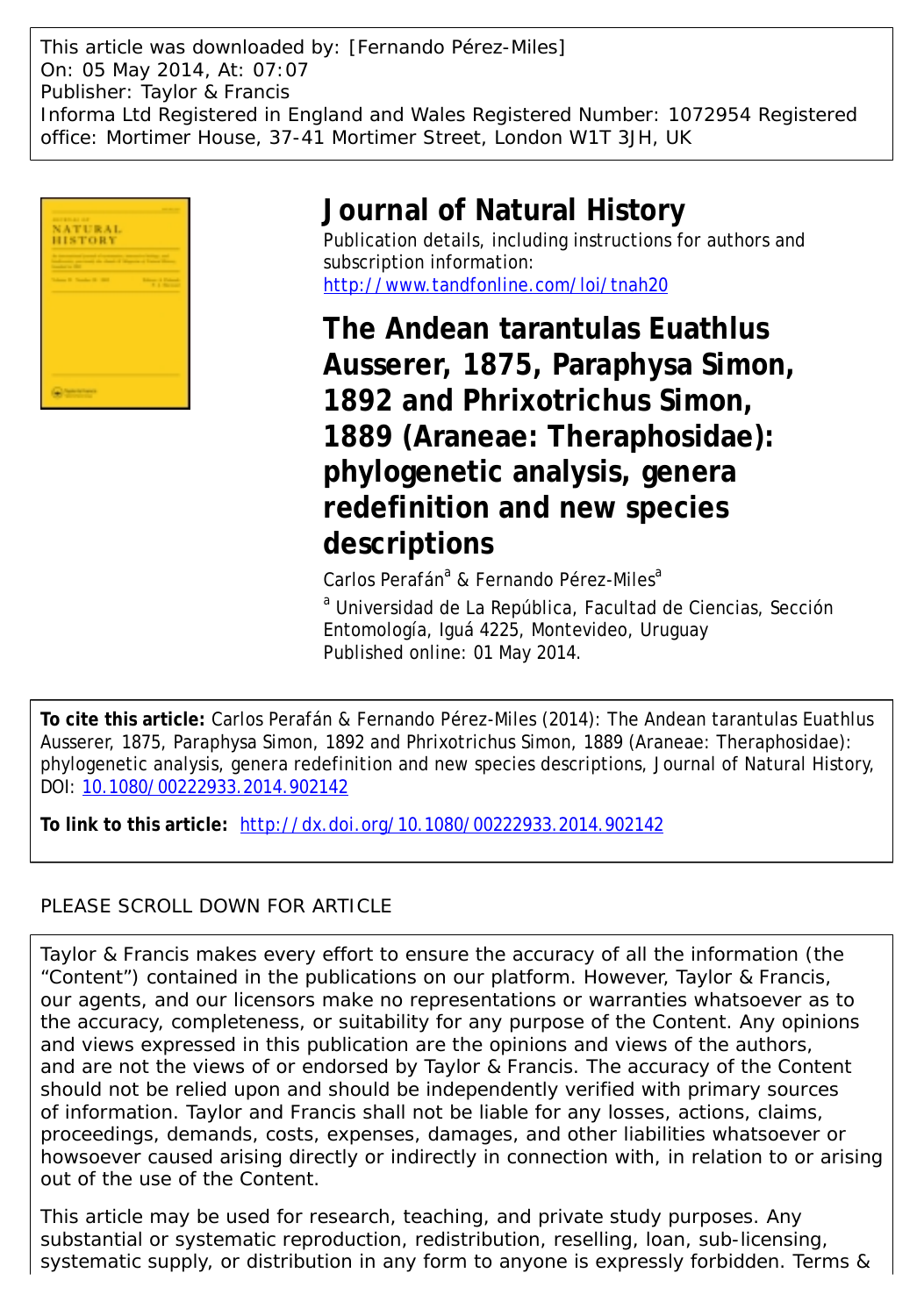This article was downloaded by: [Fernando Pérez-Miles] On: 05 May 2014, At: 07:07 Publisher: Taylor & Francis Informa Ltd Registered in England and Wales Registered Number: 1072954 Registered office: Mortimer House, 37-41 Mortimer Street, London W1T 3JH, UK



# **Journal of Natural History**

Publication details, including instructions for authors and subscription information: <http://www.tandfonline.com/loi/tnah20>

**The Andean tarantulas Euathlus Ausserer, 1875, Paraphysa Simon, 1892 and Phrixotrichus Simon, 1889 (Araneae: Theraphosidae): phylogenetic analysis, genera redefinition and new species descriptions**

Carlos Perafán<sup>a</sup> & Fernando Pérez-Miles<sup>a</sup>

<sup>a</sup> Universidad de La República, Facultad de Ciencias, Sección Entomología, Iguá 4225, Montevideo, Uruguay Published online: 01 May 2014.

**To cite this article:** Carlos Perafán & Fernando Pérez-Miles (2014): The Andean tarantulas Euathlus Ausserer, 1875, Paraphysa Simon, 1892 and Phrixotrichus Simon, 1889 (Araneae: Theraphosidae): phylogenetic analysis, genera redefinition and new species descriptions, Journal of Natural History, DOI: [10.1080/00222933.2014.902142](http://www.tandfonline.com/action/showCitFormats?doi=10.1080/00222933.2014.902142)

**To link to this article:** <http://dx.doi.org/10.1080/00222933.2014.902142>

## PLEASE SCROLL DOWN FOR ARTICLE

Taylor & Francis makes every effort to ensure the accuracy of all the information (the "Content") contained in the publications on our platform. However, Taylor & Francis, our agents, and our licensors make no representations or warranties whatsoever as to the accuracy, completeness, or suitability for any purpose of the Content. Any opinions and views expressed in this publication are the opinions and views of the authors, and are not the views of or endorsed by Taylor & Francis. The accuracy of the Content should not be relied upon and should be independently verified with primary sources of information. Taylor and Francis shall not be liable for any losses, actions, claims, proceedings, demands, costs, expenses, damages, and other liabilities whatsoever or howsoever caused arising directly or indirectly in connection with, in relation to or arising out of the use of the Content.

This article may be used for research, teaching, and private study purposes. Any substantial or systematic reproduction, redistribution, reselling, loan, sub-licensing, systematic supply, or distribution in any form to anyone is expressly forbidden. Terms &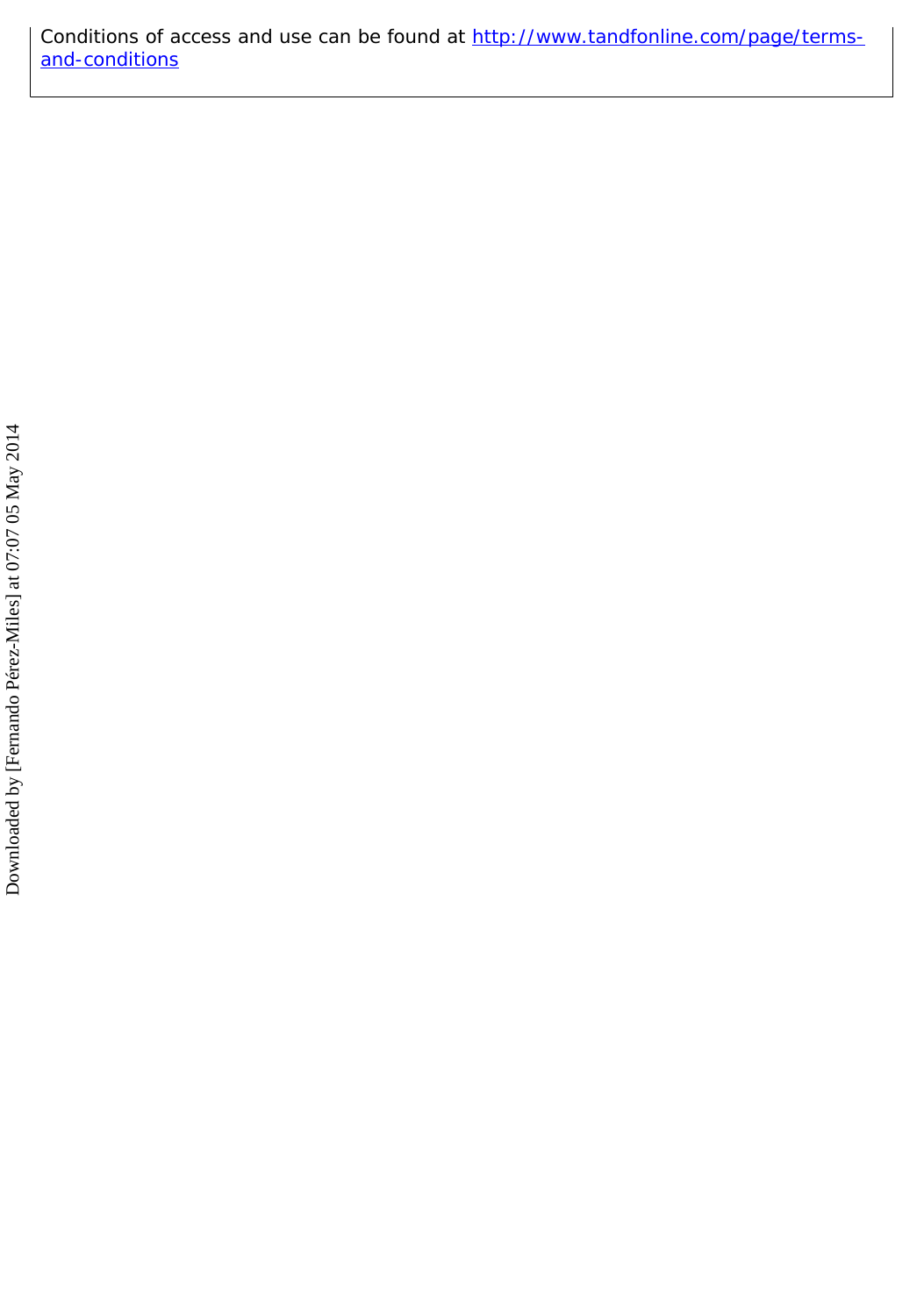Conditions of access and use can be found at [http://www.tandfonline.com/page/terms](http://www.tandfonline.com/page/terms-and-conditions)[and-conditions](http://www.tandfonline.com/page/terms-and-conditions)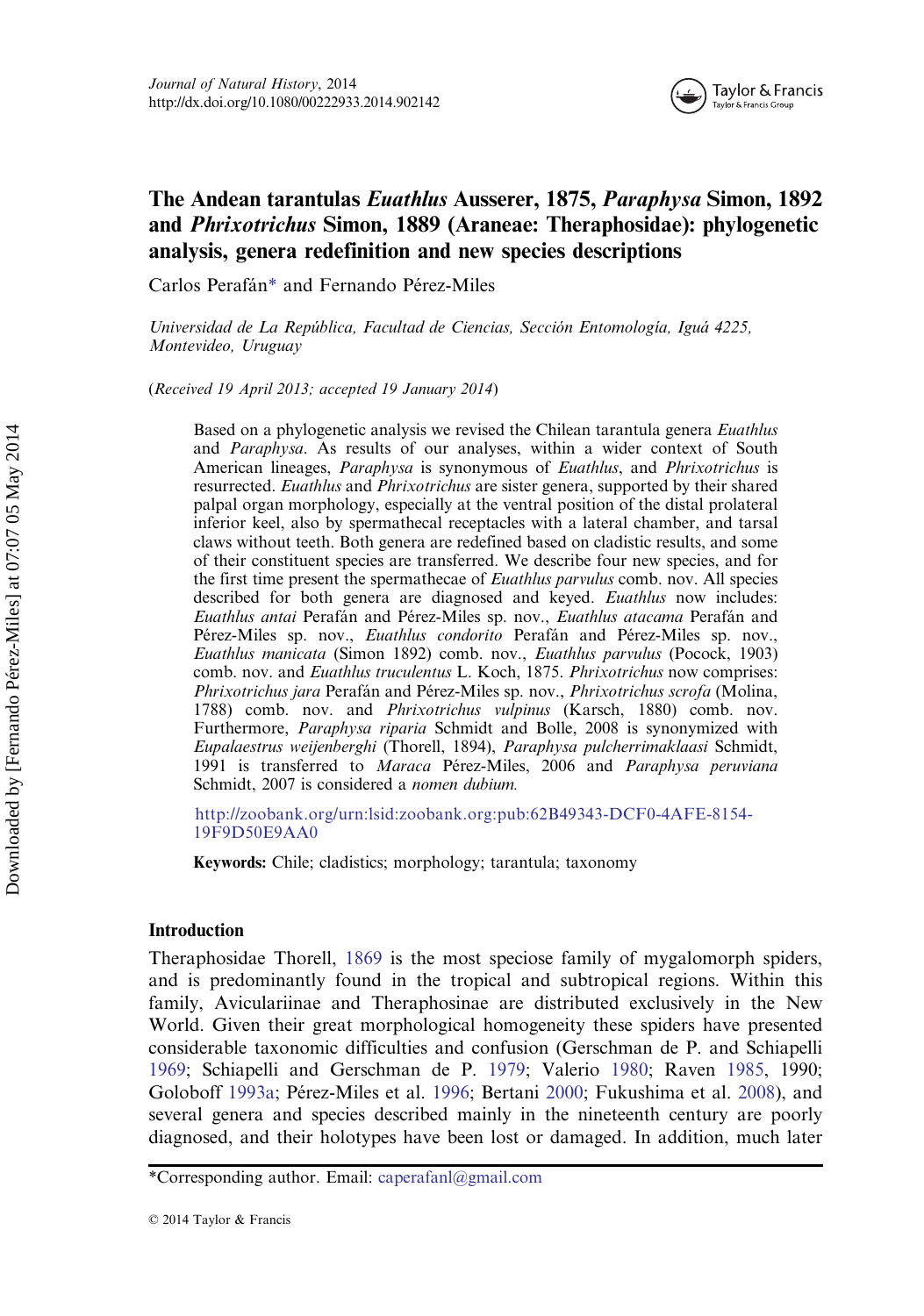

## The Andean tarantulas Euathlus Ausserer, 1875, Paraphysa Simon, 1892 and Phrixotrichus Simon, 1889 (Araneae: Theraphosidae): phylogenetic analysis, genera redefinition and new species descriptions

Carlos Perafán\* and Fernando Pérez-Miles

Universidad de La República, Facultad de Ciencias, Sección Entomología, Iguá 4225, Montevideo, Uruguay

(Received 19 April 2013; accepted 19 January 2014)

Based on a phylogenetic analysis we revised the Chilean tarantula genera Euathlus and Paraphysa. As results of our analyses, within a wider context of South American lineages, *Paraphysa* is synonymous of *Euathlus*, and *Phrixotrichus* is resurrected. *Euathlus* and *Phrixotrichus* are sister genera, supported by their shared palpal organ morphology, especially at the ventral position of the distal prolateral inferior keel, also by spermathecal receptacles with a lateral chamber, and tarsal claws without teeth. Both genera are redefined based on cladistic results, and some of their constituent species are transferred. We describe four new species, and for the first time present the spermathecae of Euathlus parvulus comb. nov. All species described for both genera are diagnosed and keyed. Euathlus now includes: Euathlus antai Perafán and Pérez-Miles sp. nov., Euathlus atacama Perafán and Pérez-Miles sp. nov., Euathlus condorito Perafán and Pérez-Miles sp. nov., Euathlus manicata (Simon 1892) comb. nov., Euathlus parvulus (Pocock, 1903) comb. nov. and Euathlus truculentus L. Koch, 1875. Phrixotrichus now comprises: Phrixotrichus jara Perafán and Pérez-Miles sp. nov., Phrixotrichus scrofa (Molina, 1788) comb. nov. and Phrixotrichus vulpinus (Karsch, 1880) comb. nov. Furthermore, Paraphysa riparia Schmidt and Bolle, 2008 is synonymized with Eupalaestrus weijenberghi (Thorell, 1894), Paraphysa pulcherrimaklaasi Schmidt, 1991 is transferred to Maraca Pérez-Miles, 2006 and Paraphysa peruviana Schmidt, 2007 is considered a nomen dubium.

[http://zoobank.org/urn:lsid:zoobank.org:pub:62B49343-DCF0-4AFE-8154-](http://zoobank.org/urn:lsid:zoobank.org:pub:62B49343-DCF0-4AFE-8154-19F9D50E9AA0) [19F9D50E9AA0](http://zoobank.org/urn:lsid:zoobank.org:pub:62B49343-DCF0-4AFE-8154-19F9D50E9AA0)

Keywords: Chile; cladistics; morphology; tarantula; taxonomy

## Introduction

Theraphosidae Thorell, [1869](#page-31-0) is the most speciose family of mygalomorph spiders, and is predominantly found in the tropical and subtropical regions. Within this family, Aviculariinae and Theraphosinae are distributed exclusively in the New World. Given their great morphological homogeneity these spiders have presented considerable taxonomic difficulties and confusion (Gerschman de P. and Schiapelli [1969](#page-29-0); Schiapelli and Gerschman de P. [1979;](#page-30-0) Valerio [1980](#page-31-0); Raven [1985](#page-30-0), 1990; Goloboff [1993a;](#page-29-0) Pérez-Miles et al. [1996;](#page-30-0) Bertani [2000;](#page-28-0) Fukushima et al. [2008](#page-29-0)), and several genera and species described mainly in the nineteenth century are poorly diagnosed, and their holotypes have been lost or damaged. In addition, much later

<sup>\*</sup>Corresponding author. Email: caperafanl@gmail.com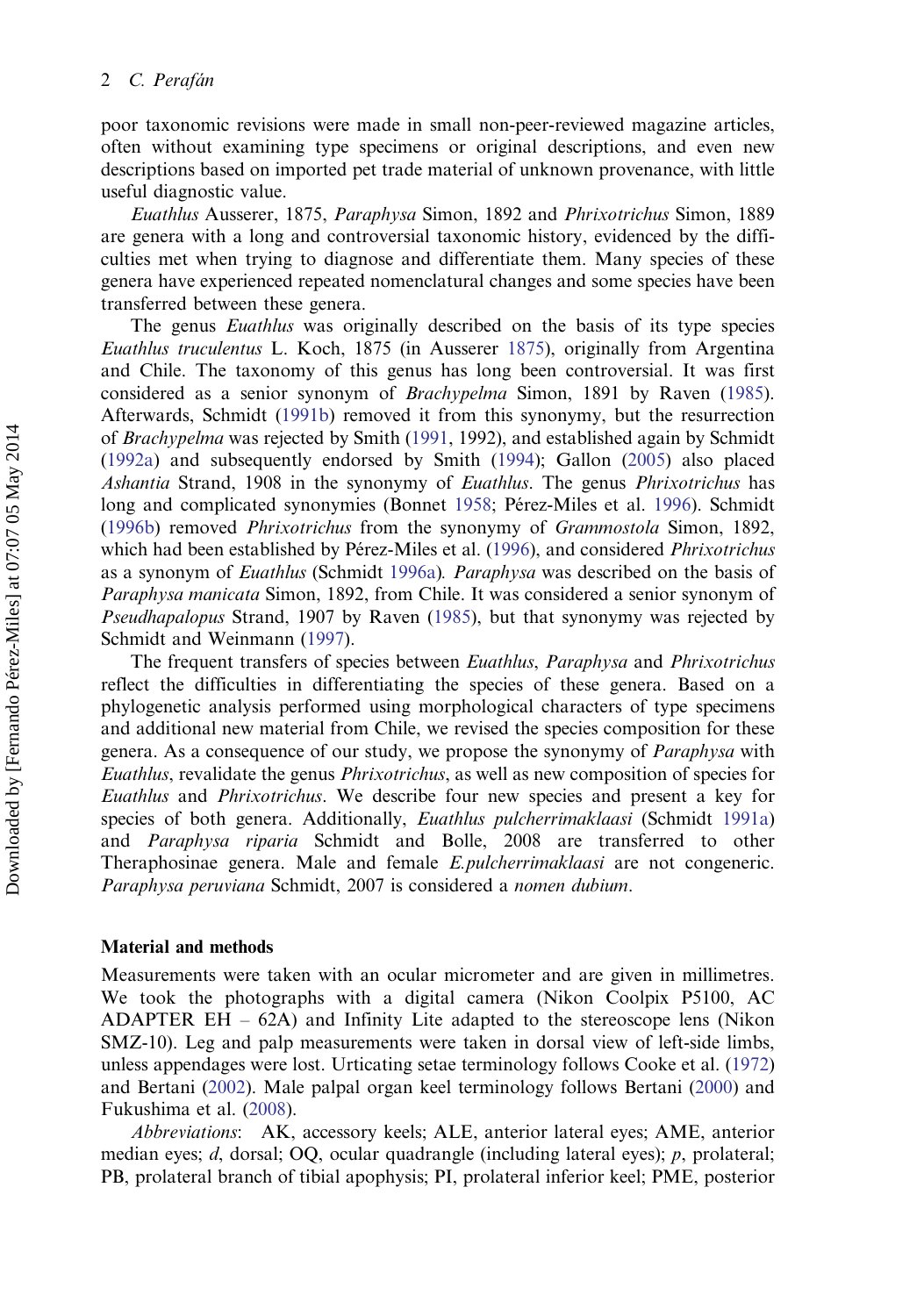poor taxonomic revisions were made in small non-peer-reviewed magazine articles, often without examining type specimens or original descriptions, and even new descriptions based on imported pet trade material of unknown provenance, with little useful diagnostic value.

Euathlus Ausserer, 1875, Paraphysa Simon, 1892 and Phrixotrichus Simon, 1889 are genera with a long and controversial taxonomic history, evidenced by the difficulties met when trying to diagnose and differentiate them. Many species of these genera have experienced repeated nomenclatural changes and some species have been transferred between these genera.

The genus *Euathlus* was originally described on the basis of its type species Euathlus truculentus L. Koch, 1875 (in Ausserer [1875\)](#page-28-0), originally from Argentina and Chile. The taxonomy of this genus has long been controversial. It was first considered as a senior synonym of Brachypelma Simon, 1891 by Raven ([1985\)](#page-30-0). Afterwards, Schmidt [\(1991b\)](#page-30-0) removed it from this synonymy, but the resurrection of Brachypelma was rejected by Smith ([1991,](#page-31-0) 1992), and established again by Schmidt [\(1992a](#page-30-0)) and subsequently endorsed by Smith [\(1994](#page-31-0)); Gallon [\(2005](#page-29-0)) also placed Ashantia Strand, 1908 in the synonymy of Euathlus. The genus Phrixotrichus has long and complicated synonymies (Bonnet [1958;](#page-28-0) Pérez-Miles et al. [1996](#page-30-0)). Schmidt [\(1996b](#page-30-0)) removed Phrixotrichus from the synonymy of Grammostola Simon, 1892, which had been established by Pérez-Miles et al. ([1996\)](#page-30-0), and considered Phrixotrichus as a synonym of *Euathlus* (Schmidt [1996a\)](#page-30-0). *Paraphysa* was described on the basis of Paraphysa manicata Simon, 1892, from Chile. It was considered a senior synonym of Pseudhapalopus Strand, 1907 by Raven ([1985](#page-30-0)), but that synonymy was rejected by Schmidt and Weinmann ([1997\)](#page-31-0).

The frequent transfers of species between Euathlus, Paraphysa and Phrixotrichus reflect the difficulties in differentiating the species of these genera. Based on a phylogenetic analysis performed using morphological characters of type specimens and additional new material from Chile, we revised the species composition for these genera. As a consequence of our study, we propose the synonymy of *Paraphysa* with Euathlus, revalidate the genus Phrixotrichus, as well as new composition of species for Euathlus and Phrixotrichus. We describe four new species and present a key for species of both genera. Additionally, *Euathlus pulcherrimaklaasi* (Schmidt [1991a\)](#page-30-0) and Paraphysa riparia Schmidt and Bolle, 2008 are transferred to other Theraphosinae genera. Male and female E.pulcherrimaklaasi are not congeneric. Paraphysa peruviana Schmidt, 2007 is considered a nomen dubium.

#### Material and methods

Measurements were taken with an ocular micrometer and are given in millimetres. We took the photographs with a digital camera (Nikon Coolpix P5100, AC ADAPTER EH – 62A) and Infinity Lite adapted to the stereoscope lens (Nikon SMZ-10). Leg and palp measurements were taken in dorsal view of left-side limbs, unless appendages were lost. Urticating setae terminology follows Cooke et al. ([1972\)](#page-29-0) and Bertani [\(2002](#page-28-0)). Male palpal organ keel terminology follows Bertani [\(2000](#page-28-0)) and Fukushima et al. ([2008\)](#page-29-0).

Abbreviations: AK, accessory keels; ALE, anterior lateral eyes; AME, anterior median eyes;  $d$ , dorsal; OQ, ocular quadrangle (including lateral eyes);  $p$ , prolateral; PB, prolateral branch of tibial apophysis; PI, prolateral inferior keel; PME, posterior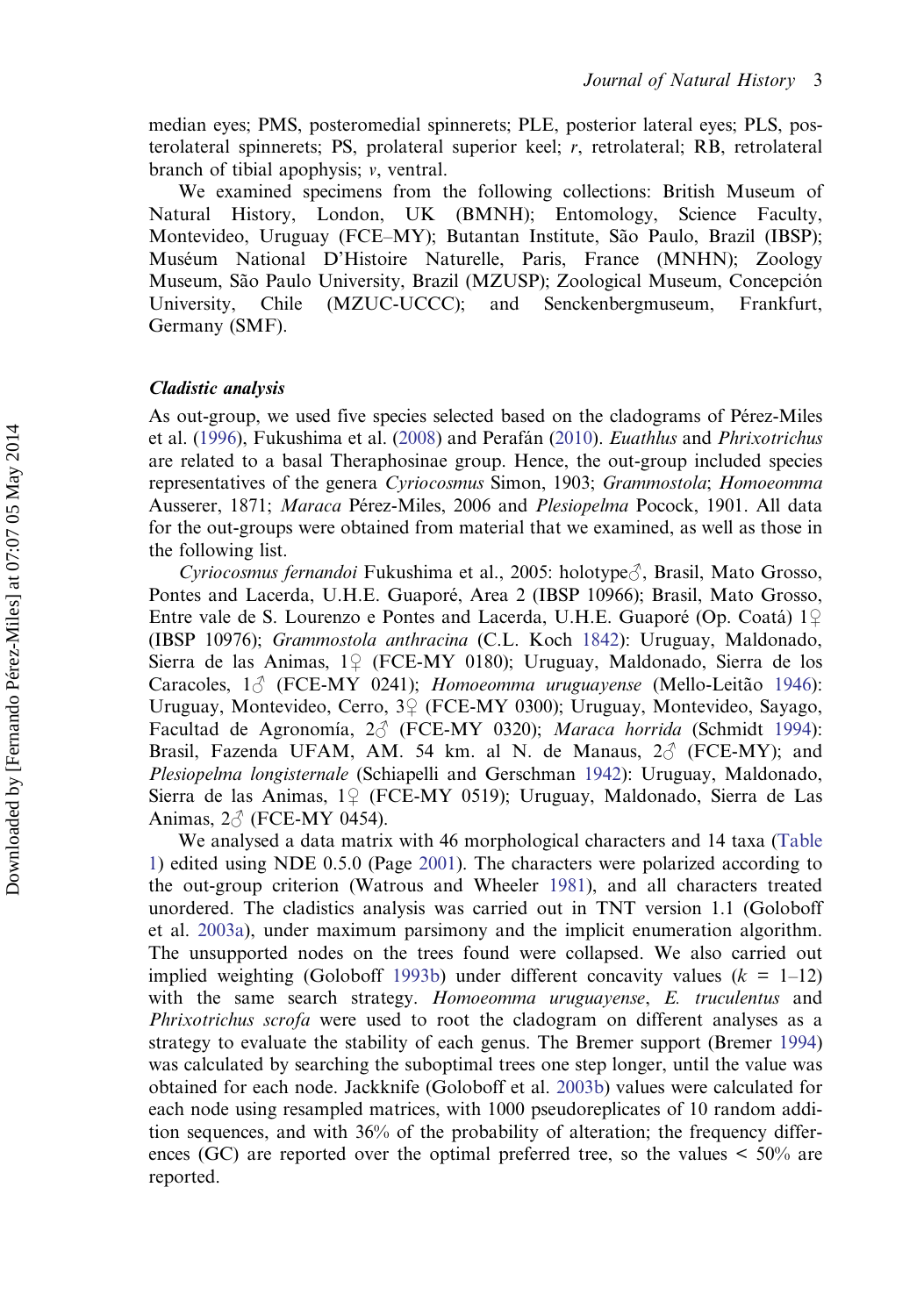median eyes; PMS, posteromedial spinnerets; PLE, posterior lateral eyes; PLS, posterolateral spinnerets; PS, prolateral superior keel; r, retrolateral; RB, retrolateral branch of tibial apophysis; v, ventral.

We examined specimens from the following collections: British Museum of Natural History, London, UK (BMNH); Entomology, Science Faculty, Montevideo, Uruguay (FCE–MY); Butantan Institute, São Paulo, Brazil (IBSP); Muséum National D'Histoire Naturelle, Paris, France (MNHN); Zoology Museum, São Paulo University, Brazil (MZUSP); Zoological Museum, Concepción University, Chile (MZUC-UCCC); and Senckenbergmuseum, Frankfurt, Germany (SMF).

## Cladistic analysis

As out-group, we used five species selected based on the cladograms of Pérez-Miles et al. [\(1996](#page-30-0)), Fukushima et al. ([2008\)](#page-29-0) and Perafán [\(2010](#page-29-0)). Euathlus and Phrixotrichus are related to a basal Theraphosinae group. Hence, the out-group included species representatives of the genera Cyriocosmus Simon, 1903; Grammostola; Homoeomma Ausserer, 1871; Maraca Pérez-Miles, 2006 and Plesiopelma Pocock, 1901. All data for the out-groups were obtained from material that we examined, as well as those in the following list.

*Cyriocosmus fernandoi* Fukushima et al., 2005: holotype $\partial$ , Brasil, Mato Grosso, Pontes and Lacerda, U.H.E. Guaporé, Area 2 (IBSP 10966); Brasil, Mato Grosso, Entre vale de S. Lourenzo e Pontes and Lacerda, U.H.E. Guaporé (Op. Coatá) 1♀ (IBSP 10976); Grammostola anthracina (C.L. Koch [1842\)](#page-29-0): Uruguay, Maldonado, Sierra de las Animas, 1♀ (FCE-MY 0180); Uruguay, Maldonado, Sierra de los Caracoles,  $1\textdegree$  (FCE-MY 0241); Homoeomma uruguayense (Mello-Leitão [1946](#page-29-0)): Uruguay, Montevideo, Cerro, 3♀ (FCE-MY 0300); Uruguay, Montevideo, Sayago, Facultad de Agronomía, 2♂ (FCE-MY 0320); Maraca horrida (Schmidt [1994](#page-30-0)): Brasil, Fazenda UFAM, AM. 54 km. al N. de Manaus,  $2\delta$  (FCE-MY); and Plesiopelma longisternale (Schiapelli and Gerschman [1942\)](#page-30-0): Uruguay, Maldonado, Sierra de las Animas, 1♀ (FCE-MY 0519); Uruguay, Maldonado, Sierra de Las Animas,  $2\text{A}$  (FCE-MY 0454).

We analysed a data matrix with 46 morphological characters and 14 taxa [\(Table](#page-5-0) [1](#page-5-0)) edited using NDE 0.5.0 (Page [2001\)](#page-29-0). The characters were polarized according to the out-group criterion (Watrous and Wheeler [1981](#page-31-0)), and all characters treated unordered. The cladistics analysis was carried out in TNT version 1.1 (Goloboff et al. [2003a\)](#page-29-0), under maximum parsimony and the implicit enumeration algorithm. The unsupported nodes on the trees found were collapsed. We also carried out implied weighting (Goloboff [1993b\)](#page-29-0) under different concavity values  $(k = 1-12)$ with the same search strategy. Homoeomma uruguayense, E. truculentus and Phrixotrichus scrofa were used to root the cladogram on different analyses as a strategy to evaluate the stability of each genus. The Bremer support (Bremer [1994](#page-28-0)) was calculated by searching the suboptimal trees one step longer, until the value was obtained for each node. Jackknife (Goloboff et al. [2003b\)](#page-29-0) values were calculated for each node using resampled matrices, with 1000 pseudoreplicates of 10 random addition sequences, and with 36% of the probability of alteration; the frequency differences (GC) are reported over the optimal preferred tree, so the values  $\leq 50\%$  are reported.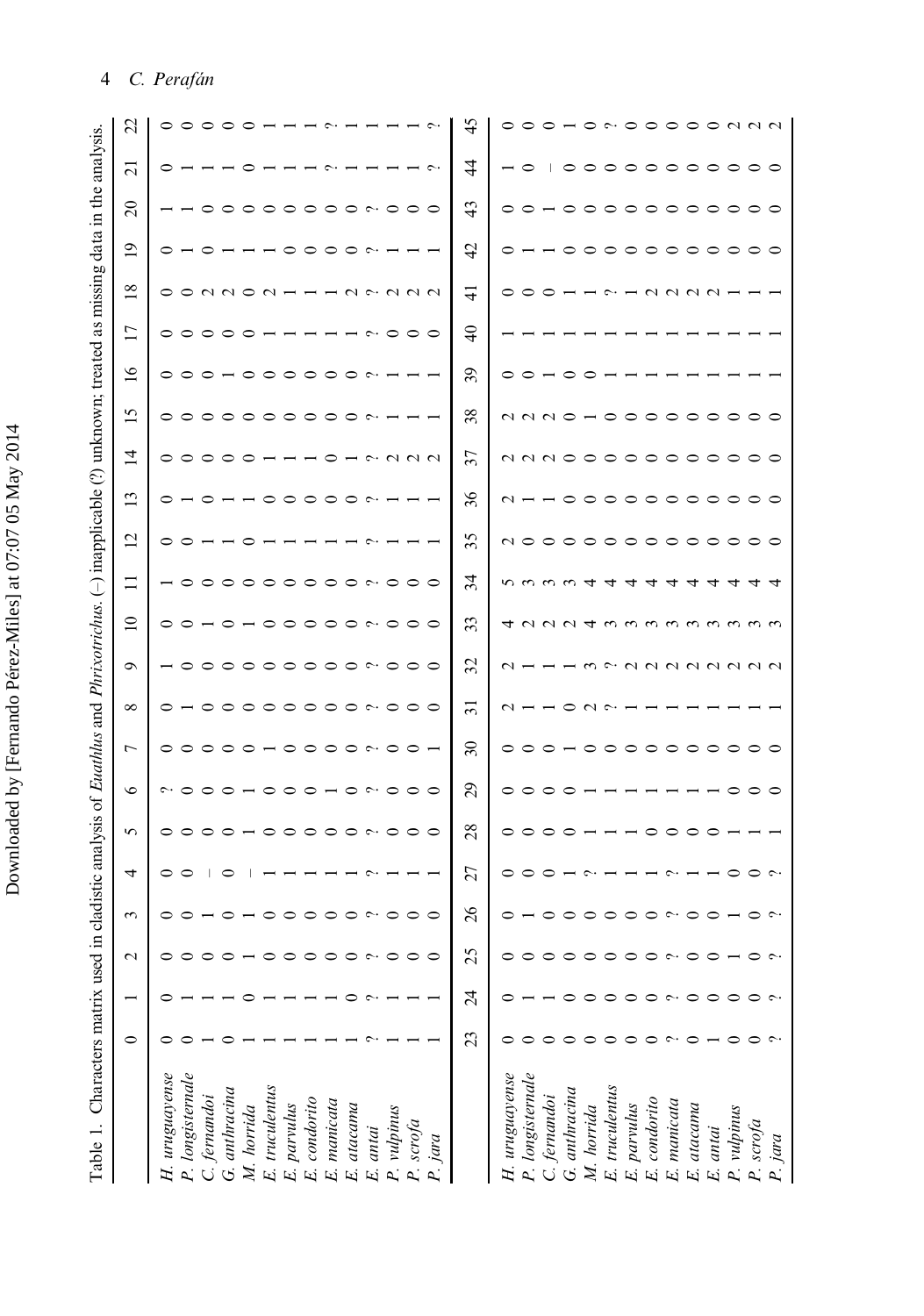<span id="page-5-0"></span>

|                                                                                                                                            | S                        |                |                           |              |               |            |                                                                            |                |              |                                  |            |          |                                     |           |         |                 |                |                  |                                                                                                                                                                                                                                                                                                                                                                                                                                                              |               |            | $\tilde{\phantom{a}}$ | ○           | ⊂            |             |                     |          | 0000000                       |           |         |
|--------------------------------------------------------------------------------------------------------------------------------------------|--------------------------|----------------|---------------------------|--------------|---------------|------------|----------------------------------------------------------------------------|----------------|--------------|----------------------------------|------------|----------|-------------------------------------|-----------|---------|-----------------|----------------|------------------|--------------------------------------------------------------------------------------------------------------------------------------------------------------------------------------------------------------------------------------------------------------------------------------------------------------------------------------------------------------------------------------------------------------------------------------------------------------|---------------|------------|-----------------------|-------------|--------------|-------------|---------------------|----------|-------------------------------|-----------|---------|
|                                                                                                                                            | $\overline{\Omega}$      | っ              |                           |              |               |            |                                                                            |                |              |                                  |            |          |                                     |           |         | 含               |                | $\circ$          |                                                                                                                                                                                                                                                                                                                                                                                                                                                              |               |            |                       |             |              |             |                     |          | 。。。。。。。。。。。。                  |           |         |
|                                                                                                                                            | $\Omega$                 |                |                           | ⊂            | ᅌ             |            | $\circ \circ \circ$                                                        |                |              | $\circ\circ\circ\circ\circ\circ$ |            |          |                                     |           |         | 43              | $\circ$        | $\circ$          |                                                                                                                                                                                                                                                                                                                                                                                                                                                              |               |            |                       |             |              |             |                     |          |                               |           |         |
|                                                                                                                                            | $\overline{0}$           | 0              |                           | ⊂            |               |            |                                                                            | $\circ$        | $\circ$      |                                  | $\circ$    | $\sim$   |                                     |           |         | $\ddot{c}$      |                |                  |                                                                                                                                                                                                                                                                                                                                                                                                                                                              |               |            |                       |             |              |             |                     |          |                               |           |         |
|                                                                                                                                            | $\frac{8}{18}$           | $\circ$        |                           |              | O N N O N     |            |                                                                            |                |              |                                  |            |          | $U \sim U U U$                      |           |         | ⊣               |                |                  |                                                                                                                                                                                                                                                                                                                                                                                                                                                              |               |            |                       |             |              | <b>AUNU</b> |                     |          |                               |           |         |
|                                                                                                                                            | $\overline{17}$          |                | $\circ \circ \circ \circ$ |              |               | $\circ$    |                                                                            |                |              |                                  |            |          | $\sim$ 000                          |           |         | $\theta$        |                |                  |                                                                                                                                                                                                                                                                                                                                                                                                                                                              |               |            |                       |             |              |             |                     |          |                               |           |         |
|                                                                                                                                            | $\overline{16}$          |                |                           |              | 000-000       |            |                                                                            |                | $\circ$      |                                  | ⊝          | $\sim$   |                                     |           |         | 39              |                |                  | $\circ$ $\circ$ $\sim$ $\circ$                                                                                                                                                                                                                                                                                                                                                                                                                               |               | ⊂          |                       |             |              |             |                     |          |                               |           |         |
| in cladistic analysis of <i>Euathlus</i> and <i>Phrixotrichus</i> . (-) inapplicable (?) unknown; treated as missing data in the analysis. | S                        |                |                           |              |               |            |                                                                            | 。。。。。。。。。。。    |              |                                  |            | $\sim$   |                                     |           |         | 38              |                |                  | $\begin{array}{ccccccccccccc} \cap & \cap & \cap & \cap & \circ & \circ & \circ \end{array}$                                                                                                                                                                                                                                                                                                                                                                 |               |            |                       |             | $\circ$      | $\circ$     | $\circ$ $\circ$     |          | $\circ$                       | ᅌ         |         |
|                                                                                                                                            | 4                        |                |                           |              | 00000-        |            |                                                                            |                |              | $\circ$                          |            |          | $\cdot$ $\sim$ $\sim$ $\sim$ $\sim$ |           |         | 37              |                |                  |                                                                                                                                                                                                                                                                                                                                                                                                                                                              |               |            |                       |             |              |             |                     |          | 11110000000000                |           |         |
|                                                                                                                                            | $\mathbf{1}$             |                |                           | っ            |               |            | ᅌ                                                                          | ○              | $\circ$      | $\circ$                          | ᅌ          | $\sim$   |                                     |           |         | 36              | $\sim$ $\sim$  |                  |                                                                                                                                                                                                                                                                                                                                                                                                                                                              | $\circ$       |            | $\circ \circ \circ$   |             | $\circ$      |             |                     |          | 00000                         |           | $\circ$ |
|                                                                                                                                            | $\overline{c}$           |                |                           |              |               |            |                                                                            |                |              |                                  |            |          |                                     |           |         | 35              |                |                  | $\begin{array}{c} \mathbf{C} \cup \mathbf{C} \cup \mathbf{C} \cup \mathbf{C} \cup \mathbf{C} \cup \mathbf{C} \cup \mathbf{C} \cup \mathbf{C} \cup \mathbf{C} \cup \mathbf{C} \cup \mathbf{C} \cup \mathbf{C} \cup \mathbf{C} \cup \mathbf{C} \cup \mathbf{C} \cup \mathbf{C} \cup \mathbf{C} \cup \mathbf{C} \cup \mathbf{C} \cup \mathbf{C} \cup \mathbf{C} \cup \mathbf{C} \cup \mathbf{C} \cup \mathbf{C} \cup \mathbf{C} \cup \mathbf{C} \cup \mathbf{C$ |               |            |                       | $\circ$     | $\circ$      | $\circ$     | $\circ \circ \circ$ |          |                               |           |         |
|                                                                                                                                            | $\Xi$                    |                | $\circ \circ \circ$       |              |               |            | $\circ \circ \circ$                                                        |                |              | $\circ \circ \circ$              |            |          | $\sim$ 000                          |           |         | $\mathfrak{H}$  |                |                  | nmmmt                                                                                                                                                                                                                                                                                                                                                                                                                                                        |               |            | 4                     | 寸           |              |             |                     |          |                               |           |         |
|                                                                                                                                            | $\overline{\phantom{0}}$ |                |                           |              |               |            |                                                                            |                |              |                                  |            |          |                                     |           |         | 33              |                |                  |                                                                                                                                                                                                                                                                                                                                                                                                                                                              |               |            |                       |             |              |             |                     |          | 4 2 2 2 4 3 3 3 3 3 3 3 3 3 3 |           |         |
|                                                                                                                                            | $\sigma$                 |                |                           |              |               |            |                                                                            | - 000000000000 |              |                                  |            |          |                                     |           |         | 32              | $\sim$         |                  |                                                                                                                                                                                                                                                                                                                                                                                                                                                              |               |            |                       |             |              |             |                     |          |                               |           |         |
|                                                                                                                                            | $\infty$                 | $\circ$        |                           | $\circ$      | $\circ$       | $\circ$    | $\circ$                                                                    |                | $\circ$      | $\circ$                          | $\circ$    |          | $\sim$ 00                           |           | $\circ$ | $\overline{5}$  | $\sim$ $-$     |                  |                                                                                                                                                                                                                                                                                                                                                                                                                                                              |               | $\sim$     |                       |             |              |             |                     |          |                               |           |         |
|                                                                                                                                            | $\overline{ }$           |                |                           |              |               |            |                                                                            | 。。。。。。。。。。     |              |                                  |            |          | $\circ \sim \circ$                  | ⊂         |         | $\approx$       | $\circ$        | $\circ$          | $\circ$                                                                                                                                                                                                                                                                                                                                                                                                                                                      |               | $\circ$    |                       | $\circ$     | $\circ$      | $\circ$     | $\circ$             | $\circ$  |                               |           |         |
|                                                                                                                                            | $\circ$                  |                | $\sim$ 0 0 0              |              |               |            | $\overline{\phantom{0}}$ $\overline{\phantom{0}}$ $\overline{\phantom{0}}$ |                | $\circ$ -    |                                  | ⊝          |          | $\sim$ 000                          |           |         | $^{29}$         | $\circ$        | ⊂                | $\circ$                                                                                                                                                                                                                                                                                                                                                                                                                                                      | ⊂             |            |                       |             |              |             |                     |          |                               |           |         |
|                                                                                                                                            | 5                        | $\circ$        | $\circ$                   |              | $\circ$       |            | $-$ 0 0                                                                    |                |              | $\circ \circ \circ$              |            |          | $\sim$ 000                          |           |         | 28              | $\circ$        | ⊂                | $\circ$                                                                                                                                                                                                                                                                                                                                                                                                                                                      | ⊂             |            |                       |             |              |             |                     |          |                               |           |         |
|                                                                                                                                            | 4                        | $\circ$        | $\circ$                   |              | $\circ$       |            |                                                                            |                |              |                                  |            | $\sim$   |                                     |           |         | 27              | $\circ$        |                  | $\circ$                                                                                                                                                                                                                                                                                                                                                                                                                                                      |               | C          |                       |             |              |             |                     |          |                               |           |         |
|                                                                                                                                            | $\epsilon$               |                |                           |              |               |            |                                                                            |                |              |                                  |            |          |                                     |           |         | $\delta$        |                |                  |                                                                                                                                                                                                                                                                                                                                                                                                                                                              |               |            |                       |             |              |             |                     |          |                               |           |         |
|                                                                                                                                            | $\mathcal{L}$            |                |                           |              |               |            | $\circ$                                                                    | $\circ$        | $\circ$      | $\circ$                          |            | $\sim$   | $\circ$                             | $\circ$   |         | 25              |                |                  |                                                                                                                                                                                                                                                                                                                                                                                                                                                              |               | $\circ$    | $\circ$               | $\circ$     | $\circ$      | $\sim$      |                     |          |                               | $\circ$   | $\sim$  |
|                                                                                                                                            |                          |                |                           |              |               |            |                                                                            |                |              |                                  |            |          |                                     |           |         | $\overline{24}$ |                |                  |                                                                                                                                                                                                                                                                                                                                                                                                                                                              |               |            |                       |             |              |             |                     |          |                               |           |         |
|                                                                                                                                            | $\circ$                  |                |                           |              |               |            |                                                                            |                |              |                                  |            |          |                                     |           |         | 23              |                |                  |                                                                                                                                                                                                                                                                                                                                                                                                                                                              |               | $\circ$    | $\circ$               | ○           | ⊂            | c           |                     |          |                               |           |         |
| Table 1. Characters matrix used                                                                                                            |                          | H. uruguayense | P. longisternale          | C. fernandoi | G. anthracina | M. horrida | E. truculentus                                                             | E. parvulus    | E. condorito | E. manicata                      | E. atacama | E. antai | P. vulpinus                         | P. scrofa | P. jara |                 | H. uruguayense | P. longisternale | C. fernandoi                                                                                                                                                                                                                                                                                                                                                                                                                                                 | G. anthracina | M. horrida | E. truculentus        | E. parvulus | E. condorito | E. manicata | E. atacama          | E. antai | P. vulpinus                   | P. scrofa | P. jara |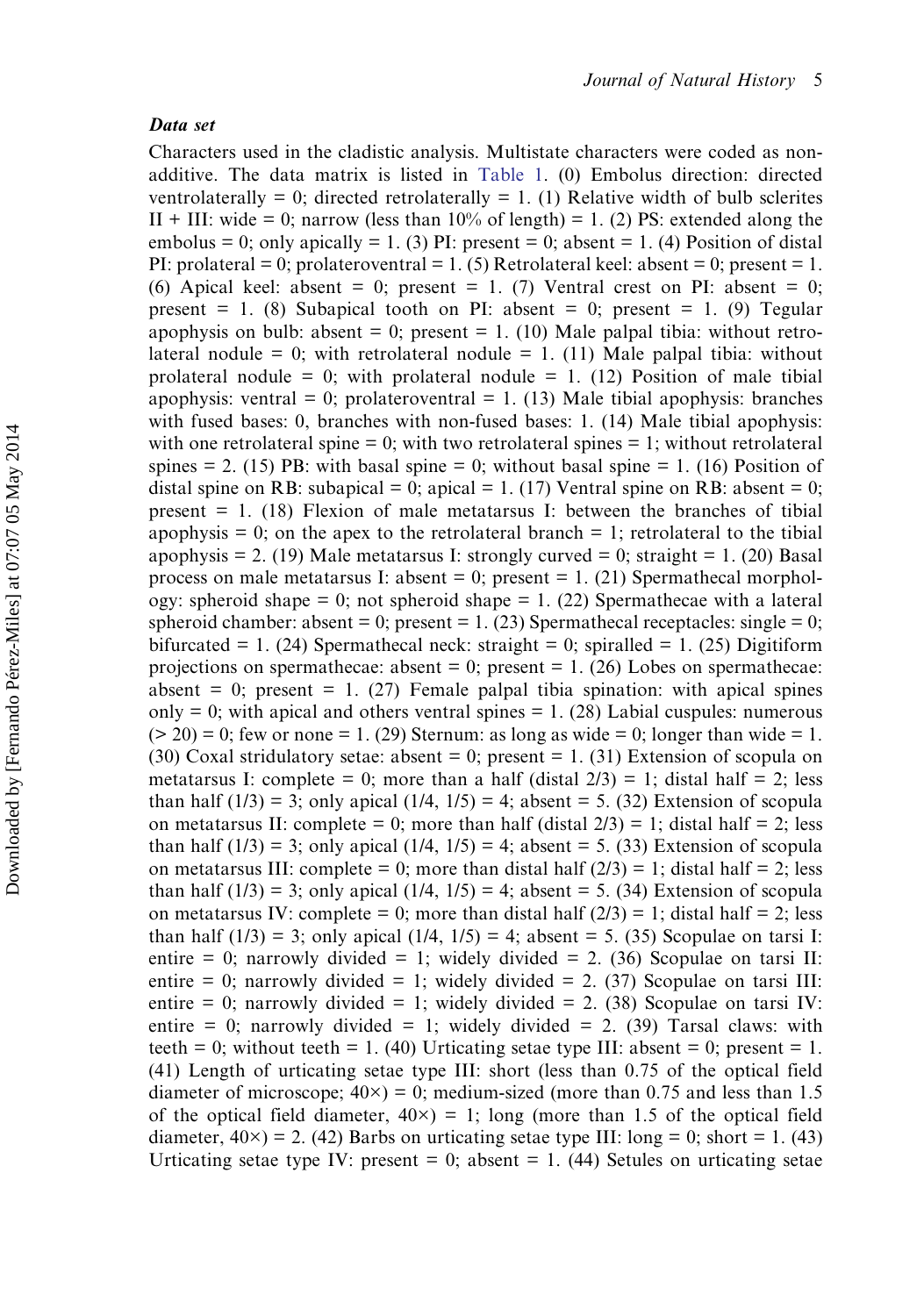#### Data set

Characters used in the cladistic analysis. Multistate characters were coded as nonadditive. The data matrix is listed in [Table 1](#page-5-0). (0) Embolus direction: directed ventrolaterally = 0; directed retrolaterally = 1. (1) Relative width of bulb sclerites II + III: wide = 0; narrow (less than  $10\%$  of length) = 1. (2) PS: extended along the embolus = 0; only apically = 1. (3) PI: present = 0; absent = 1. (4) Position of distal PI: prolateral = 0; prolateroventral = 1. (5) Retrolateral keel: absent = 0; present = 1. (6) Apical keel: absent = 0; present = 1. (7) Ventral crest on PI: absent = 0; present = 1. (8) Subapical tooth on PI: absent = 0; present = 1. (9) Tegular apophysis on bulb: absent = 0; present = 1. (10) Male palpal tibia: without retrolateral nodule = 0; with retrolateral nodule = 1. (11) Male palpal tibia: without prolateral nodule = 0; with prolateral nodule = 1. (12) Position of male tibial apophysis: ventral = 0; prolateroventral = 1. (13) Male tibial apophysis: branches with fused bases: 0, branches with non-fused bases: 1. (14) Male tibial apophysis: with one retrolateral spine  $= 0$ ; with two retrolateral spines  $= 1$ ; without retrolateral spines  $= 2$ . (15) PB: with basal spine  $= 0$ ; without basal spine  $= 1$ . (16) Position of distal spine on RB: subapical = 0; apical = 1. (17) Ventral spine on RB: absent = 0; present  $= 1$ . (18) Flexion of male metatarsus I: between the branches of tibial apophysis  $= 0$ ; on the apex to the retrolateral branch  $= 1$ ; retrolateral to the tibial apophysis = 2. (19) Male metatarsus I: strongly curved = 0; straight = 1. (20) Basal process on male metatarsus I: absent  $= 0$ ; present  $= 1$ . (21) Spermathecal morphology: spheroid shape  $= 0$ ; not spheroid shape  $= 1$ . (22) Spermathecae with a lateral spheroid chamber: absent = 0; present = 1. (23) Spermathecal receptacles: single = 0; bifurcated = 1. (24) Spermathecal neck: straight = 0; spiralled = 1. (25) Digitiform projections on spermathecae: absent  $= 0$ ; present  $= 1$ . (26) Lobes on spermathecae: absent  $= 0$ ; present  $= 1$ . (27) Female palpal tibia spination: with apical spines only  $= 0$ ; with apical and others ventral spines  $= 1$ . (28) Labial cuspules: numerous  $(> 20) = 0$ ; few or none = 1. (29) Sternum: as long as wide = 0; longer than wide = 1. (30) Coxal stridulatory setae: absent  $= 0$ ; present  $= 1$ . (31) Extension of scopula on metatarsus I: complete = 0; more than a half (distal  $2/3$ ) = 1; distal half = 2; less than half  $(1/3) = 3$ ; only apical  $(1/4, 1/5) = 4$ ; absent = 5. (32) Extension of scopula on metatarsus II: complete = 0; more than half (distal  $2/3$ ) = 1; distal half = 2; less than half  $(1/3) = 3$ ; only apical  $(1/4, 1/5) = 4$ ; absent = 5. (33) Extension of scopula on metatarsus III: complete = 0; more than distal half  $(2/3)$  = 1; distal half = 2; less than half  $(1/3) = 3$ ; only apical  $(1/4, 1/5) = 4$ ; absent = 5. (34) Extension of scopula on metatarsus IV: complete = 0; more than distal half  $(2/3) = 1$ ; distal half = 2; less than half  $(1/3) = 3$ ; only apical  $(1/4, 1/5) = 4$ ; absent = 5. (35) Scopulae on tarsi I: entire = 0; narrowly divided = 1; widely divided = 2. (36) Scopulae on tarsi II: entire = 0; narrowly divided = 1; widely divided = 2. (37) Scopulae on tarsi III: entire = 0; narrowly divided = 1; widely divided = 2. (38) Scopulae on tarsi IV: entire = 0; narrowly divided = 1; widely divided = 2. (39) Tarsal claws: with teeth = 0; without teeth = 1. (40) Urticating setae type III: absent = 0; present = 1. (41) Length of urticating setae type III: short (less than 0.75 of the optical field diameter of microscope;  $40\times$ ) = 0; medium-sized (more than 0.75 and less than 1.5 of the optical field diameter,  $40\times$ ) = 1; long (more than 1.5 of the optical field diameter,  $40 \times$ ) = 2. (42) Barbs on urticating setae type III: long = 0; short = 1. (43) Urticating setae type IV: present  $= 0$ ; absent  $= 1$ . (44) Setules on urticating setae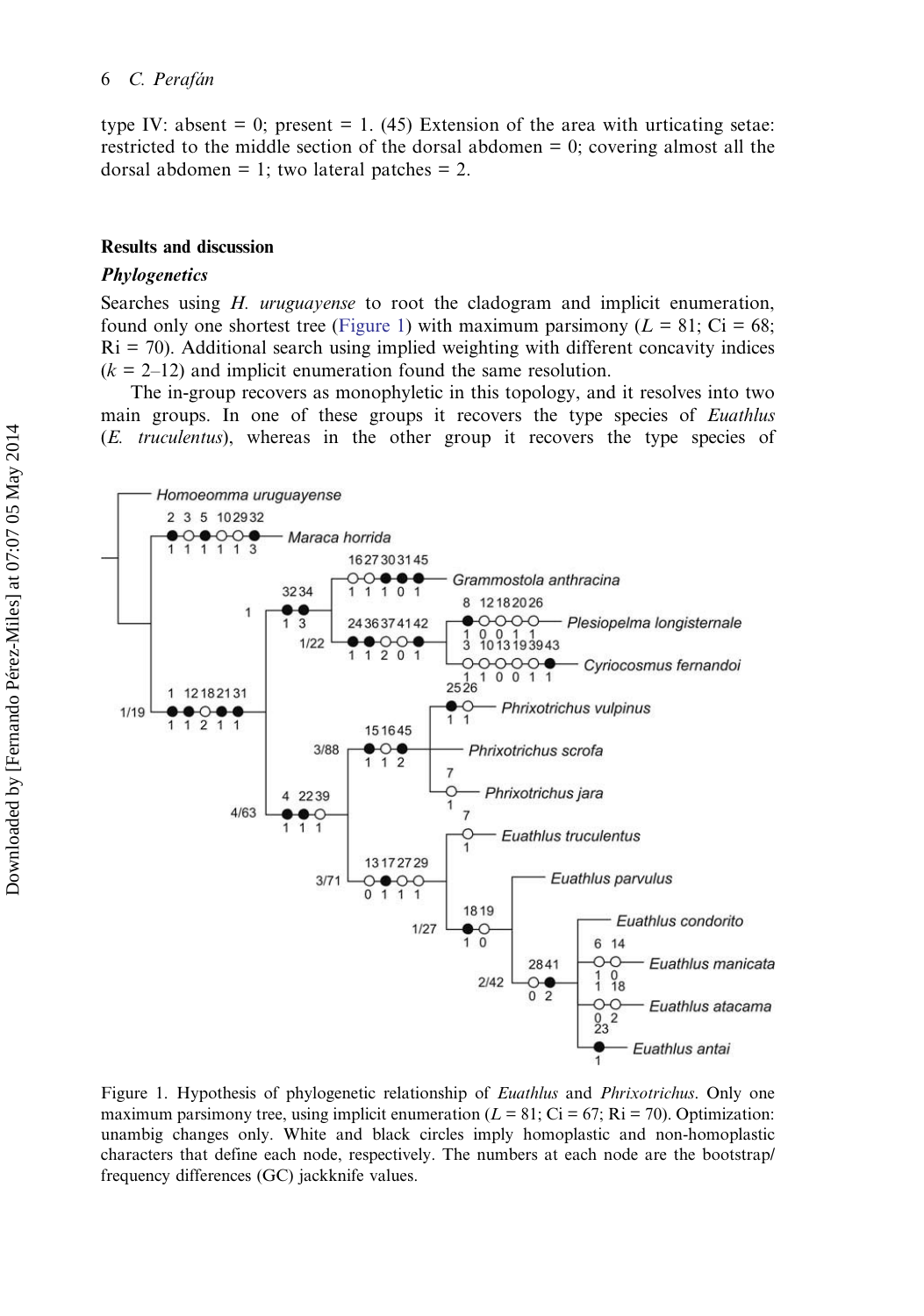<span id="page-7-0"></span>type IV: absent  $= 0$ ; present  $= 1$ . (45) Extension of the area with urticating setae: restricted to the middle section of the dorsal abdomen = 0; covering almost all the dorsal abdomen = 1; two lateral patches = 2.

## Results and discussion

#### Phylogenetics

Searches using H. uruguayense to root the cladogram and implicit enumeration, found only one shortest tree (Figure 1) with maximum parsimony ( $L = 81$ ; Ci = 68;  $\text{Ri} = 70$ ). Additional search using implied weighting with different concavity indices  $(k = 2-12)$  and implicit enumeration found the same resolution.

The in-group recovers as monophyletic in this topology, and it resolves into two main groups. In one of these groups it recovers the type species of Euathlus (E. truculentus), whereas in the other group it recovers the type species of



Figure 1. Hypothesis of phylogenetic relationship of *Euathlus* and *Phrixotrichus*. Only one maximum parsimony tree, using implicit enumeration ( $L = 81$ ; Ci = 67; Ri = 70). Optimization: unambig changes only. White and black circles imply homoplastic and non-homoplastic characters that define each node, respectively. The numbers at each node are the bootstrap/ frequency differences (GC) jackknife values.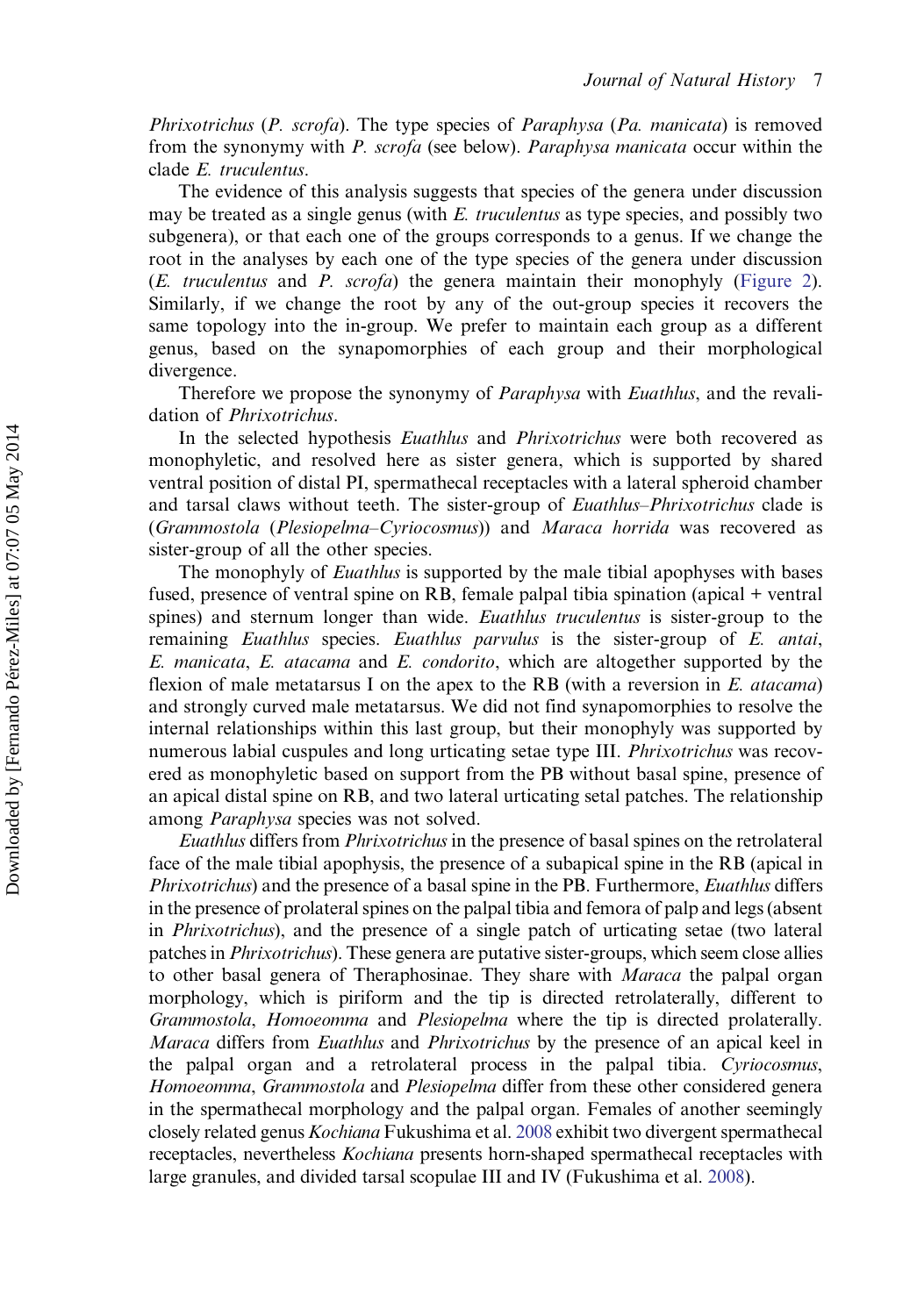Phrixotrichus (P. scrofa). The type species of Paraphysa (Pa. manicata) is removed from the synonymy with P. scrofa (see below). Paraphysa manicata occur within the clade E. truculentus.

The evidence of this analysis suggests that species of the genera under discussion may be treated as a single genus (with E. truculentus as type species, and possibly two subgenera), or that each one of the groups corresponds to a genus. If we change the root in the analyses by each one of the type species of the genera under discussion (E. truculentus and P. scrofa) the genera maintain their monophyly [\(Figure 2](#page-9-0)). Similarly, if we change the root by any of the out-group species it recovers the same topology into the in-group. We prefer to maintain each group as a different genus, based on the synapomorphies of each group and their morphological divergence.

Therefore we propose the synonymy of *Paraphysa* with *Euathlus*, and the revalidation of Phrixotrichus.

In the selected hypothesis *Euathlus* and *Phrixotrichus* were both recovered as monophyletic, and resolved here as sister genera, which is supported by shared ventral position of distal PI, spermathecal receptacles with a lateral spheroid chamber and tarsal claws without teeth. The sister-group of Euathlus–Phrixotrichus clade is (Grammostola (Plesiopelma–Cyriocosmus)) and Maraca horrida was recovered as sister-group of all the other species.

The monophyly of *Euathlus* is supported by the male tibial apophyses with bases fused, presence of ventral spine on RB, female palpal tibia spination (apical + ventral spines) and sternum longer than wide. Euathlus truculentus is sister-group to the remaining Euathlus species. Euathlus parvulus is the sister-group of E. antai, E. manicata, E. atacama and E. condorito, which are altogether supported by the flexion of male metatarsus I on the apex to the RB (with a reversion in  $E$ , *atacama*) and strongly curved male metatarsus. We did not find synapomorphies to resolve the internal relationships within this last group, but their monophyly was supported by numerous labial cuspules and long urticating setae type III. Phrixotrichus was recovered as monophyletic based on support from the PB without basal spine, presence of an apical distal spine on RB, and two lateral urticating setal patches. The relationship among Paraphysa species was not solved.

Euathlus differs from Phrixotrichus in the presence of basal spines on the retrolateral face of the male tibial apophysis, the presence of a subapical spine in the RB (apical in Phrixotrichus) and the presence of a basal spine in the PB. Furthermore, Euathlus differs in the presence of prolateral spines on the palpal tibia and femora of palp and legs (absent in Phrixotrichus), and the presence of a single patch of urticating setae (two lateral patches in Phrixotrichus). These genera are putative sister-groups, which seem close allies to other basal genera of Theraphosinae. They share with Maraca the palpal organ morphology, which is piriform and the tip is directed retrolaterally, different to Grammostola, Homoeomma and Plesiopelma where the tip is directed prolaterally. Maraca differs from Euathlus and Phrixotrichus by the presence of an apical keel in the palpal organ and a retrolateral process in the palpal tibia. Cyriocosmus, Homoeomma, Grammostola and Plesiopelma differ from these other considered genera in the spermathecal morphology and the palpal organ. Females of another seemingly closely related genus Kochiana Fukushima et al. [2008](#page-29-0) exhibit two divergent spermathecal receptacles, nevertheless Kochiana presents horn-shaped spermathecal receptacles with large granules, and divided tarsal scopulae III and IV (Fukushima et al. [2008\)](#page-29-0).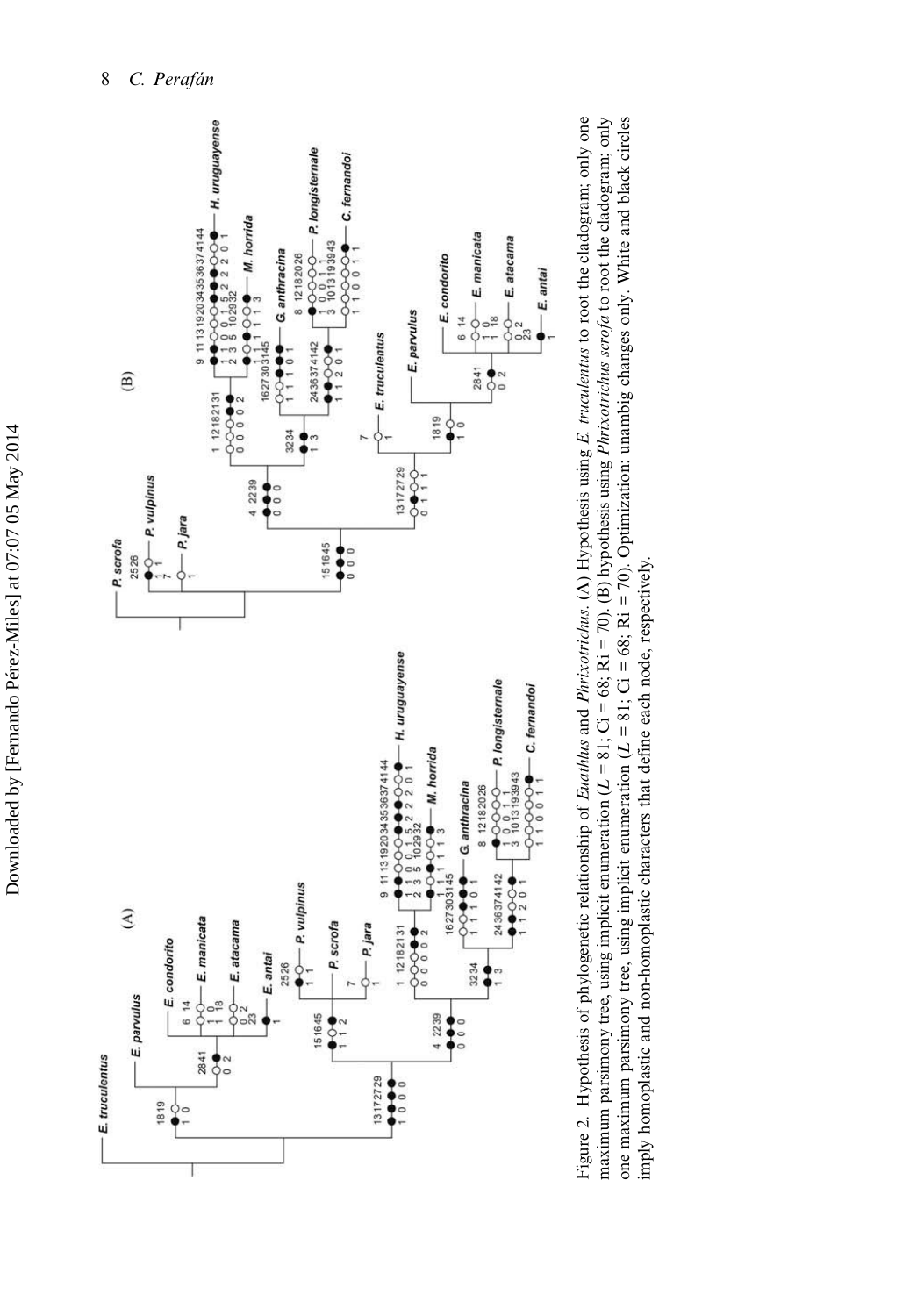<span id="page-9-0"></span>

Figure 2. Hypothesis of phylogenetic relationship of Euathlus and Phrixotrichus. (A) Hypothesis using E. truculentus to root the cladogram; only one maximum parsimony tree, using implicit enumeration  $(L = 81; Ci = 68; Ri = 70)$ . (B) hypothesis using *Phrixotrichus serofa* to root the cladogram; only one maximum parsimony tree, using implicit enumeration  $(L = 81; Ci = 68; Ri = 70)$ . Optimization: unambig changes only. White and black circles Figure 2. Hypothesis of phylogenetic relationship of Euathlus and Phrixotrichus. (A) Hypothesis using E. truculentus to root the cladogram; only one maximum parsimony tree, using implicit enumeration  $(L = 81; Ci = 68; Ri = 70)$ . (B) hypothesis using *Phrixotrichus scrofa* to root the cladogram; only one maximum parsimony tree, using implicit enumeration  $(L = 81; Ci = 68; Ri = 70)$ . Optimization: unambig changes only. White and black circles imply homoplastic and non-homoplastic characters that define each node, respectively. imply homoplastic and non-homoplastic characters that define each node, respectively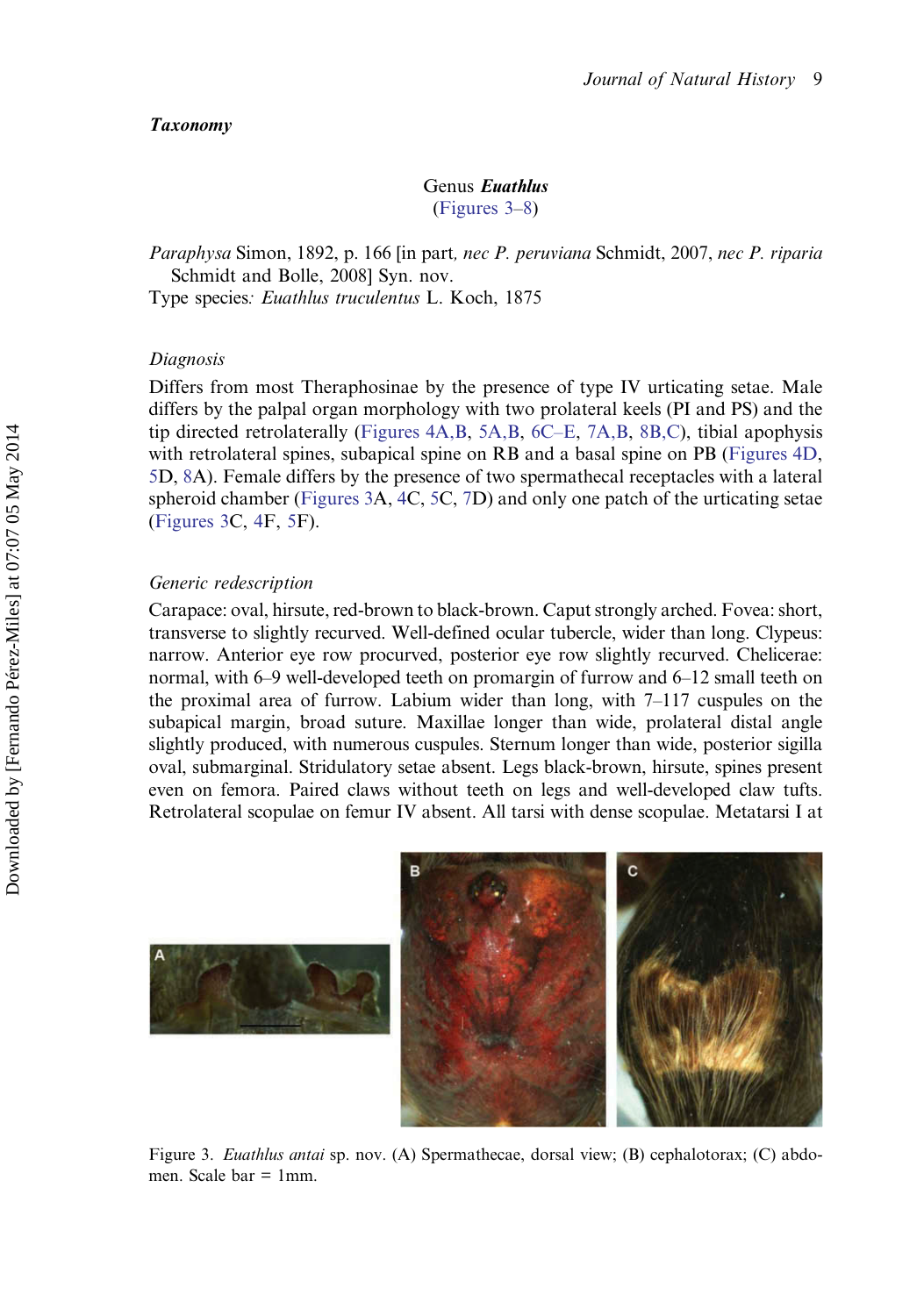### <span id="page-10-0"></span>Taxonomy

## Genus Euathlus (Figures 3–[8](#page-13-0))

Paraphysa Simon, 1892, p. 166 [in part, nec P. peruviana Schmidt, 2007, nec P. riparia Schmidt and Bolle, 2008] Syn. nov.

Type species: Euathlus truculentus L. Koch, 1875

## Diagnosis

Differs from most Theraphosinae by the presence of type IV urticating setae. Male differs by the palpal organ morphology with two prolateral keels (PI and PS) and the tip directed retrolaterally [\(Figures 4A,B,](#page-11-0) [5A,B,](#page-12-0) [6C](#page-12-0)–E, [7A,B,](#page-13-0) [8B,C](#page-13-0)), tibial apophysis with retrolateral spines, subapical spine on RB and a basal spine on PB ([Figures 4D,](#page-11-0) [5](#page-12-0)D, [8A](#page-13-0)). Female differs by the presence of two spermathecal receptacles with a lateral spheroid chamber (Figures 3A, [4](#page-11-0)C, [5C](#page-12-0), [7](#page-13-0)D) and only one patch of the urticating setae (Figures 3C, [4F](#page-11-0), [5](#page-12-0)F).

### Generic redescription

Carapace: oval, hirsute, red-brown to black-brown. Caput strongly arched. Fovea: short, transverse to slightly recurved. Well-defined ocular tubercle, wider than long. Clypeus: narrow. Anterior eye row procurved, posterior eye row slightly recurved. Chelicerae: normal, with 6–9 well-developed teeth on promargin of furrow and 6–12 small teeth on the proximal area of furrow. Labium wider than long, with 7–117 cuspules on the subapical margin, broad suture. Maxillae longer than wide, prolateral distal angle slightly produced, with numerous cuspules. Sternum longer than wide, posterior sigilla oval, submarginal. Stridulatory setae absent. Legs black-brown, hirsute, spines present even on femora. Paired claws without teeth on legs and well-developed claw tufts. Retrolateral scopulae on femur IV absent. All tarsi with dense scopulae. Metatarsi I at



Figure 3. Euathlus antai sp. nov. (A) Spermathecae, dorsal view; (B) cephalotorax; (C) abdomen. Scale bar  $= 1$ mm.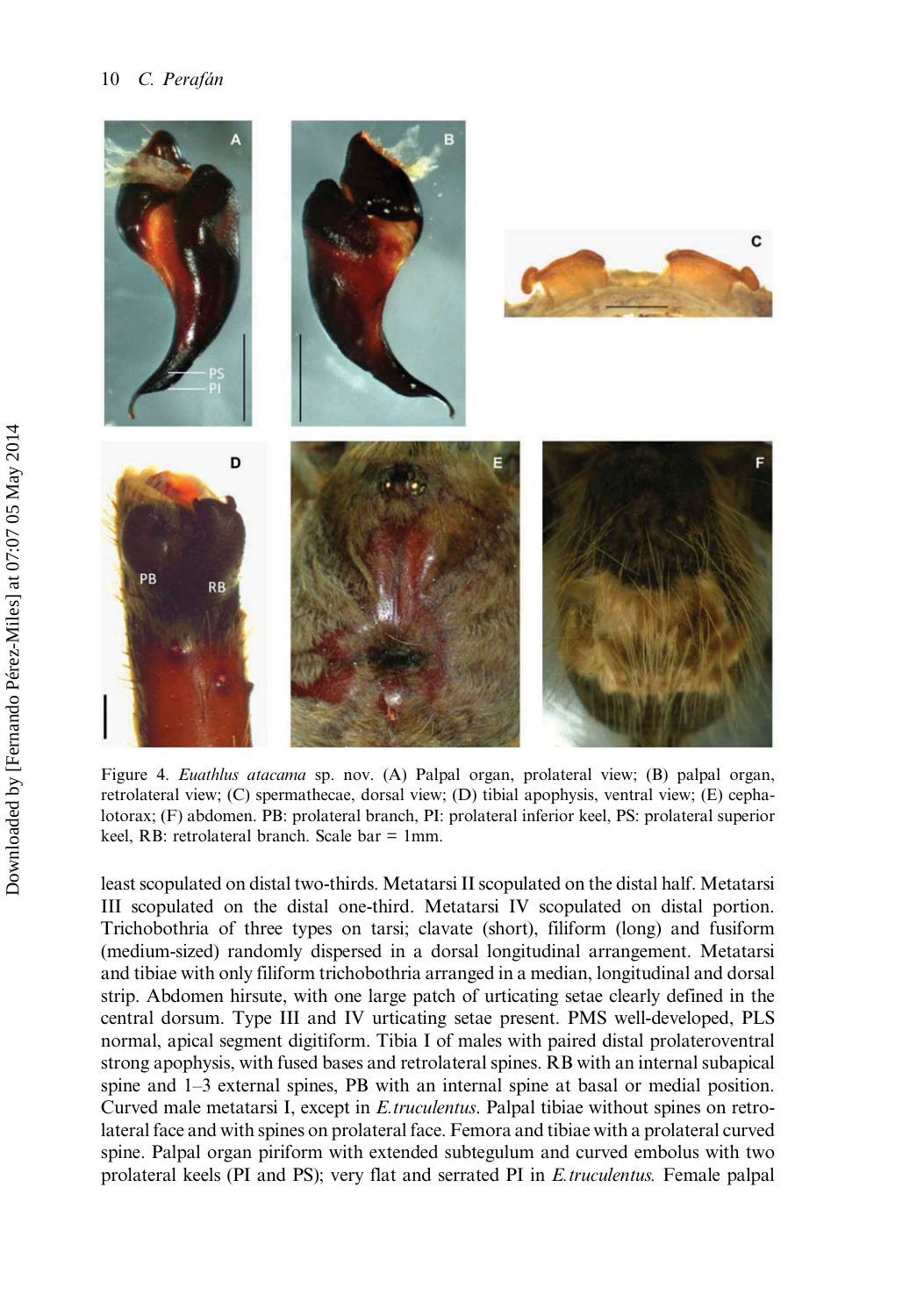<span id="page-11-0"></span>

Figure 4. Euathlus atacama sp. nov. (A) Palpal organ, prolateral view; (B) palpal organ, retrolateral view; (C) spermathecae, dorsal view; (D) tibial apophysis, ventral view; (E) cephalotorax; (F) abdomen. PB: prolateral branch, PI: prolateral inferior keel, PS: prolateral superior keel, RB: retrolateral branch. Scale bar = 1mm.

least scopulated on distal two-thirds. Metatarsi II scopulated on the distal half. Metatarsi III scopulated on the distal one-third. Metatarsi IV scopulated on distal portion. Trichobothria of three types on tarsi; clavate (short), filiform (long) and fusiform (medium-sized) randomly dispersed in a dorsal longitudinal arrangement. Metatarsi and tibiae with only filiform trichobothria arranged in a median, longitudinal and dorsal strip. Abdomen hirsute, with one large patch of urticating setae clearly defined in the central dorsum. Type III and IV urticating setae present. PMS well-developed, PLS normal, apical segment digitiform. Tibia I of males with paired distal prolateroventral strong apophysis, with fused bases and retrolateral spines. RB with an internal subapical spine and 1–3 external spines, PB with an internal spine at basal or medial position. Curved male metatarsi I, except in E.truculentus. Palpal tibiae without spines on retrolateral face and with spines on prolateral face. Femora and tibiae with a prolateral curved spine. Palpal organ piriform with extended subtegulum and curved embolus with two prolateral keels (PI and PS); very flat and serrated PI in E.truculentus. Female palpal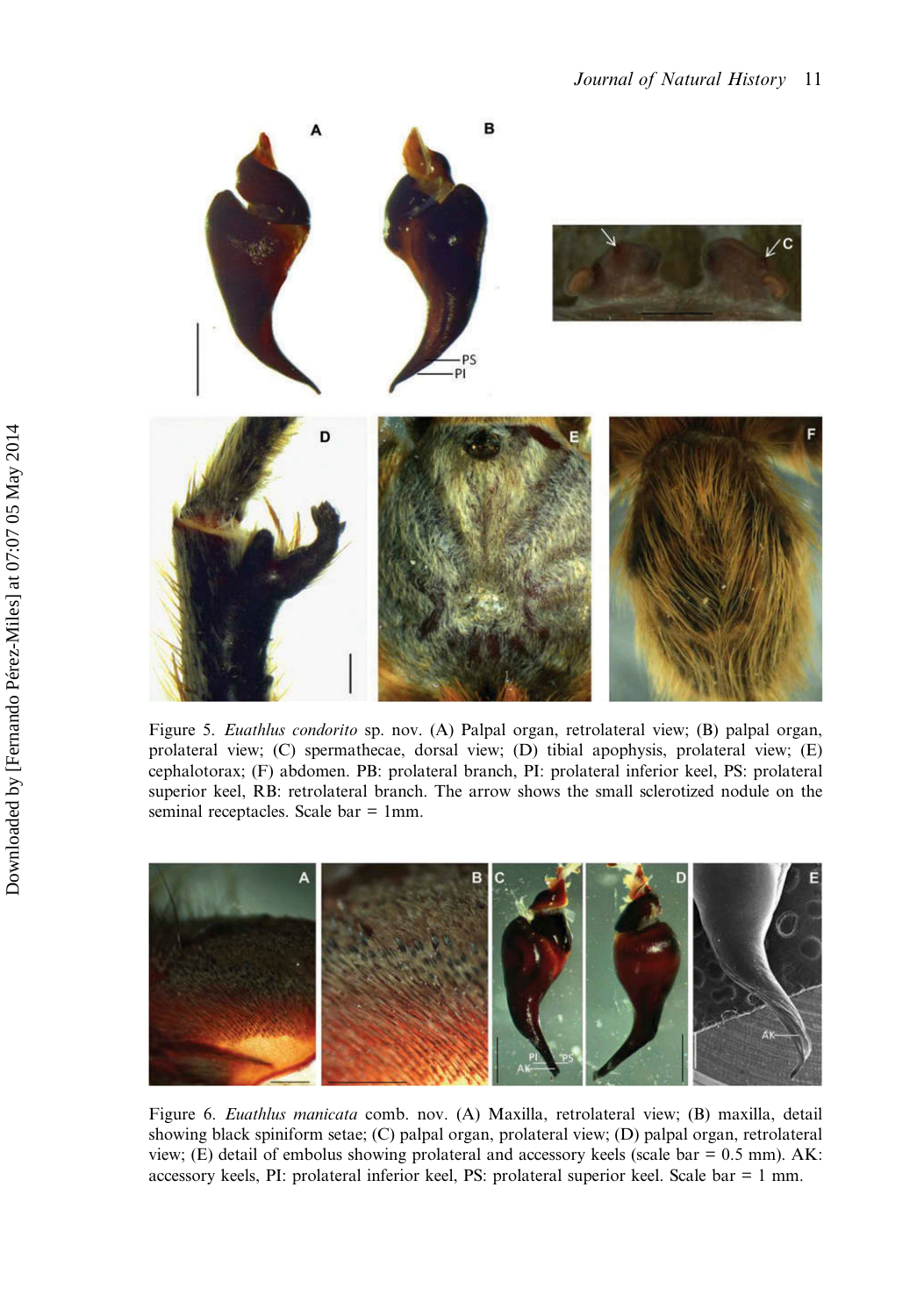<span id="page-12-0"></span>

Figure 5. Euathlus condorito sp. nov. (A) Palpal organ, retrolateral view; (B) palpal organ, prolateral view; (C) spermathecae, dorsal view; (D) tibial apophysis, prolateral view; (E) cephalotorax; (F) abdomen. PB: prolateral branch, PI: prolateral inferior keel, PS: prolateral superior keel, RB: retrolateral branch. The arrow shows the small sclerotized nodule on the seminal receptacles. Scale bar = 1mm.



Figure 6. Euathlus manicata comb. nov. (A) Maxilla, retrolateral view; (B) maxilla, detail showing black spiniform setae; (C) palpal organ, prolateral view; (D) palpal organ, retrolateral view; (E) detail of embolus showing prolateral and accessory keels (scale bar = 0.5 mm). AK: accessory keels, PI: prolateral inferior keel, PS: prolateral superior keel. Scale bar = 1 mm.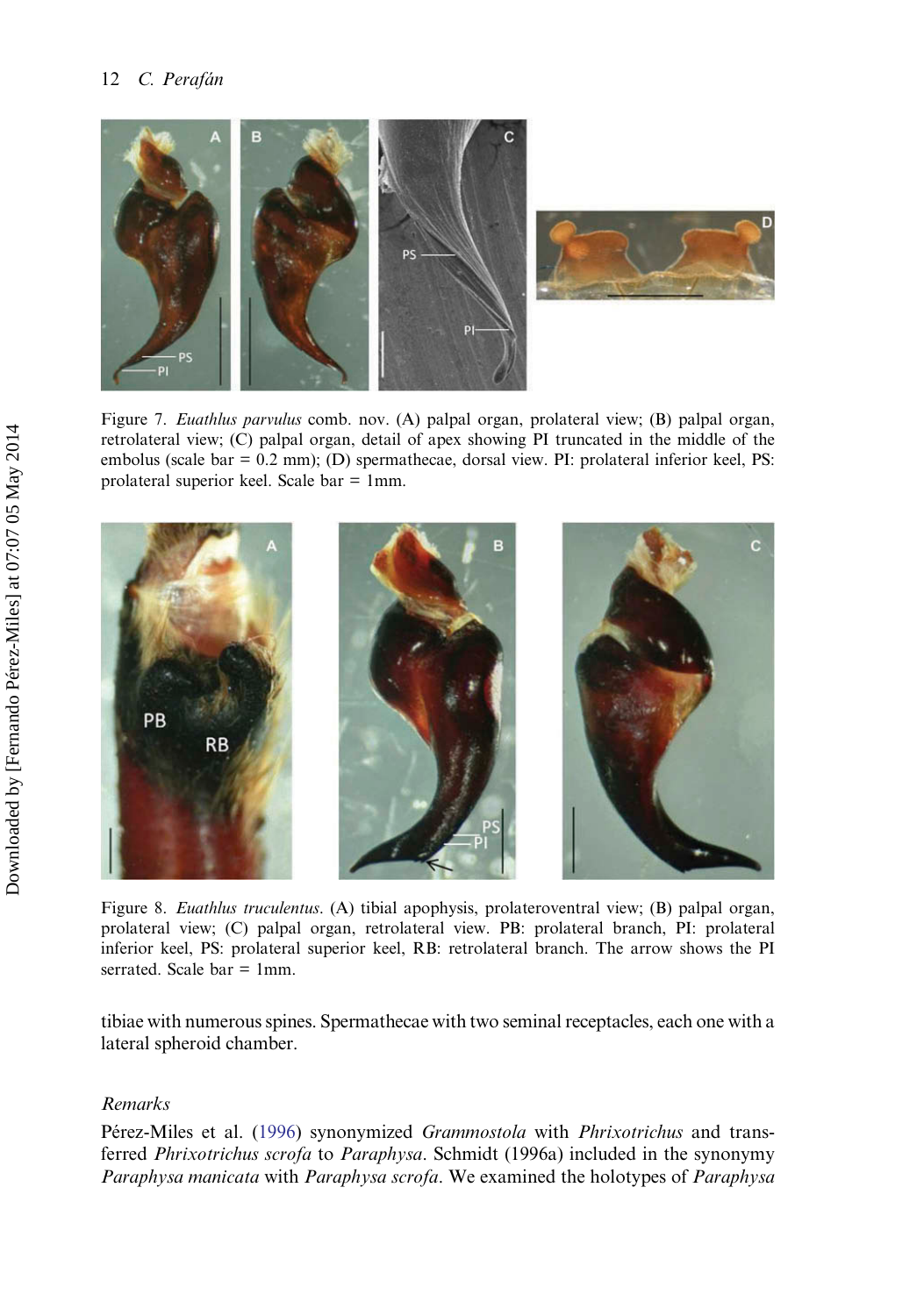<span id="page-13-0"></span>

Figure 7. Euathlus parvulus comb. nov. (A) palpal organ, prolateral view; (B) palpal organ, retrolateral view; (C) palpal organ, detail of apex showing PI truncated in the middle of the embolus (scale bar =  $0.2$  mm); (D) spermathecae, dorsal view. PI: prolateral inferior keel, PS: prolateral superior keel. Scale bar = 1mm.



Figure 8. Euathlus truculentus. (A) tibial apophysis, prolateroventral view; (B) palpal organ, prolateral view; (C) palpal organ, retrolateral view. PB: prolateral branch, PI: prolateral inferior keel, PS: prolateral superior keel, RB: retrolateral branch. The arrow shows the PI serrated. Scale bar = 1mm.

tibiae with numerous spines. Spermathecae with two seminal receptacles, each one with a lateral spheroid chamber.

## Remarks

Pérez-Miles et al. ([1996\)](#page-30-0) synonymized Grammostola with Phrixotrichus and transferred Phrixotrichus scrofa to Paraphysa. Schmidt (1996a) included in the synonymy Paraphysa manicata with Paraphysa scrofa. We examined the holotypes of Paraphysa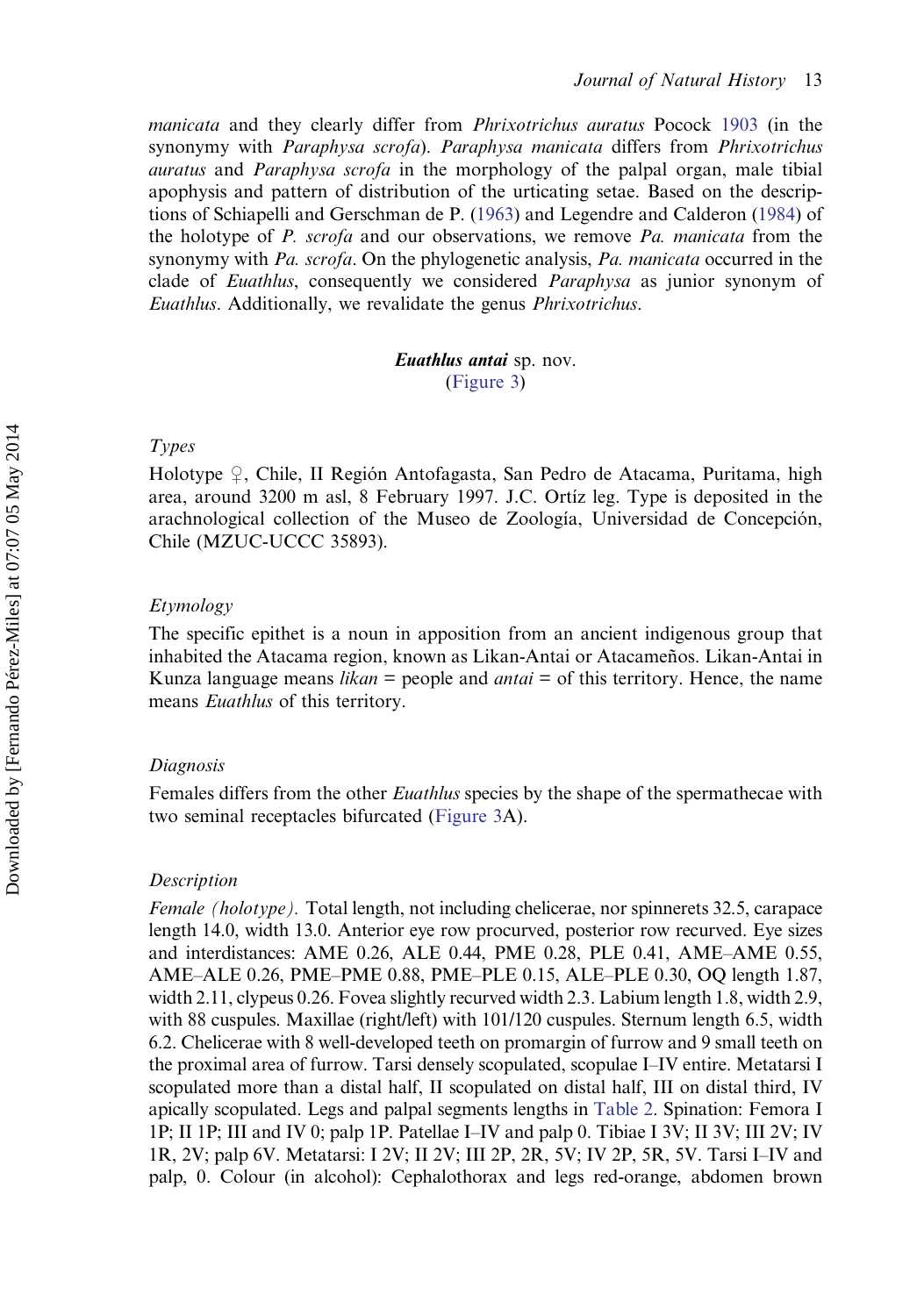manicata and they clearly differ from Phrixotrichus auratus Pocock [1903](#page-30-0) (in the synonymy with Paraphysa scrofa). Paraphysa manicata differs from Phrixotrichus auratus and Paraphysa scrofa in the morphology of the palpal organ, male tibial apophysis and pattern of distribution of the urticating setae. Based on the descriptions of Schiapelli and Gerschman de P. [\(1963](#page-30-0)) and Legendre and Calderon ([1984\)](#page-29-0) of the holotype of P. scrofa and our observations, we remove Pa. manicata from the synonymy with Pa. scrofa. On the phylogenetic analysis, Pa. manicata occurred in the clade of Euathlus, consequently we considered *Paraphysa* as junior synonym of Euathlus. Additionally, we revalidate the genus Phrixotrichus.

## Euathlus antai sp. nov. [\(Figure 3](#page-10-0))

## Types

Holotype ♀, Chile, II Región Antofagasta, San Pedro de Atacama, Puritama, high area, around 3200 m asl, 8 February 1997. J.C. Ortíz leg. Type is deposited in the arachnological collection of the Museo de Zoología, Universidad de Concepción, Chile (MZUC-UCCC 35893).

## Etymology

The specific epithet is a noun in apposition from an ancient indigenous group that inhabited the Atacama region, known as Likan-Antai or Atacameños. Likan-Antai in Kunza language means *likan* = people and *antai* = of this territory. Hence, the name means Euathlus of this territory.

## Diagnosis

Females differs from the other *Euathlus* species by the shape of the spermathecae with two seminal receptacles bifurcated [\(Figure 3](#page-10-0)A).

## **Description**

Female (holotype). Total length, not including chelicerae, nor spinnerets 32.5, carapace length 14.0, width 13.0. Anterior eye row procurved, posterior row recurved. Eye sizes and interdistances: AME 0.26, ALE 0.44, PME 0.28, PLE 0.41, AME–AME 0.55, AME–ALE 0.26, PME–PME 0.88, PME–PLE 0.15, ALE–PLE 0.30, OQ length 1.87, width 2.11, clypeus 0.26. Fovea slightly recurved width 2.3. Labium length 1.8, width 2.9, with 88 cuspules. Maxillae (right/left) with 101/120 cuspules. Sternum length 6.5, width 6.2. Chelicerae with 8 well-developed teeth on promargin of furrow and 9 small teeth on the proximal area of furrow. Tarsi densely scopulated, scopulae I–IV entire. Metatarsi I scopulated more than a distal half, II scopulated on distal half, III on distal third, IV apically scopulated. Legs and palpal segments lengths in [Table 2.](#page-15-0) Spination: Femora I 1P; II 1P; III and IV 0; palp 1P. Patellae I–IV and palp 0. Tibiae I 3V; II 3V; III 2V; IV 1R, 2V; palp 6V. Metatarsi: I 2V; II 2V; III 2P, 2R, 5V; IV 2P, 5R, 5V. Tarsi I–IV and palp, 0. Colour (in alcohol): Cephalothorax and legs red-orange, abdomen brown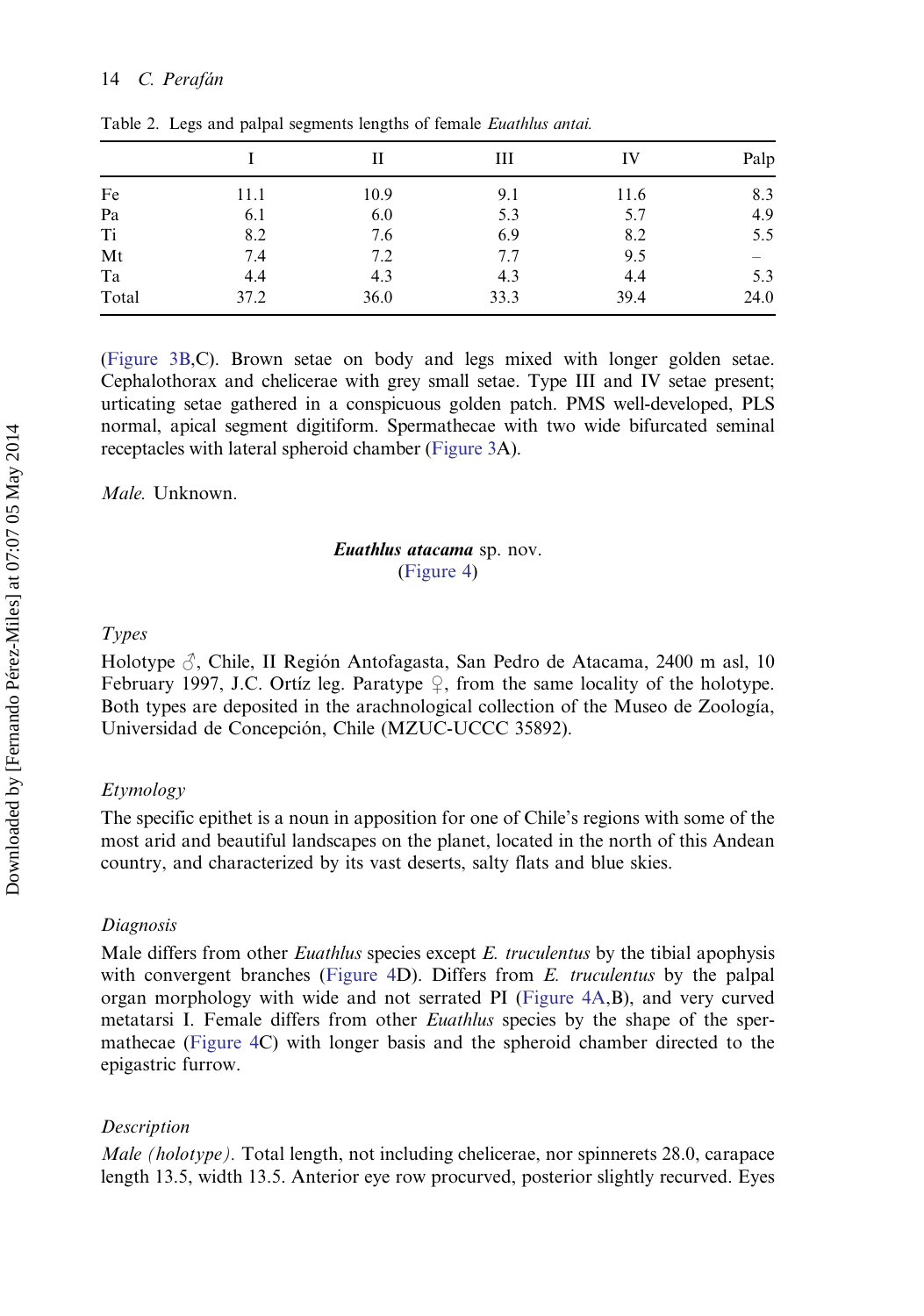|                |      |      | Ш    | IV   | Palp |
|----------------|------|------|------|------|------|
| Fe             | 11.1 | 10.9 | 9.1  | 11.6 | 8.3  |
| Pa             | 6.1  | 6.0  | 5.3  | 5.7  | 4.9  |
| T <sub>i</sub> | 8.2  | 7.6  | 6.9  | 8.2  | 5.5  |
| Mt             | 7.4  | 7.2  | 7.7  | 9.5  |      |
| Ta             | 4.4  | 4.3  | 4.3  | 4.4  | 5.3  |
| Total          | 37.2 | 36.0 | 33.3 | 39.4 | 24.0 |

<span id="page-15-0"></span>Table 2. Legs and palpal segments lengths of female Euathlus antai.

[\(Figure 3B,](#page-10-0)C). Brown setae on body and legs mixed with longer golden setae. Cephalothorax and chelicerae with grey small setae. Type III and IV setae present; urticating setae gathered in a conspicuous golden patch. PMS well-developed, PLS normal, apical segment digitiform. Spermathecae with two wide bifurcated seminal receptacles with lateral spheroid chamber [\(Figure 3](#page-10-0)A).

Male. Unknown.

## Euathlus atacama sp. nov. ([Figure 4\)](#page-11-0)

### Types

Holotype ♂, Chile, II Región Antofagasta, San Pedro de Atacama, 2400 m asl, 10 February 1997, J.C. Ortíz leg. Paratype  $\frac{1}{2}$ , from the same locality of the holotype. Both types are deposited in the arachnological collection of the Museo de Zoología, Universidad de Concepción, Chile (MZUC-UCCC 35892).

## Etymology

The specific epithet is a noun in apposition for one of Chile's regions with some of the most arid and beautiful landscapes on the planet, located in the north of this Andean country, and characterized by its vast deserts, salty flats and blue skies.

### Diagnosis

Male differs from other *Euathlus* species except *E. truculentus* by the tibial apophysis with convergent branches ([Figure 4D](#page-11-0)). Differs from  $E$  *truculentus* by the palpal organ morphology with wide and not serrated PI ([Figure 4A,](#page-11-0)B), and very curved metatarsi I. Female differs from other Euathlus species by the shape of the spermathecae [\(Figure 4](#page-11-0)C) with longer basis and the spheroid chamber directed to the epigastric furrow.

## Description

Male (holotype). Total length, not including chelicerae, nor spinnerets 28.0, carapace length 13.5, width 13.5. Anterior eye row procurved, posterior slightly recurved. Eyes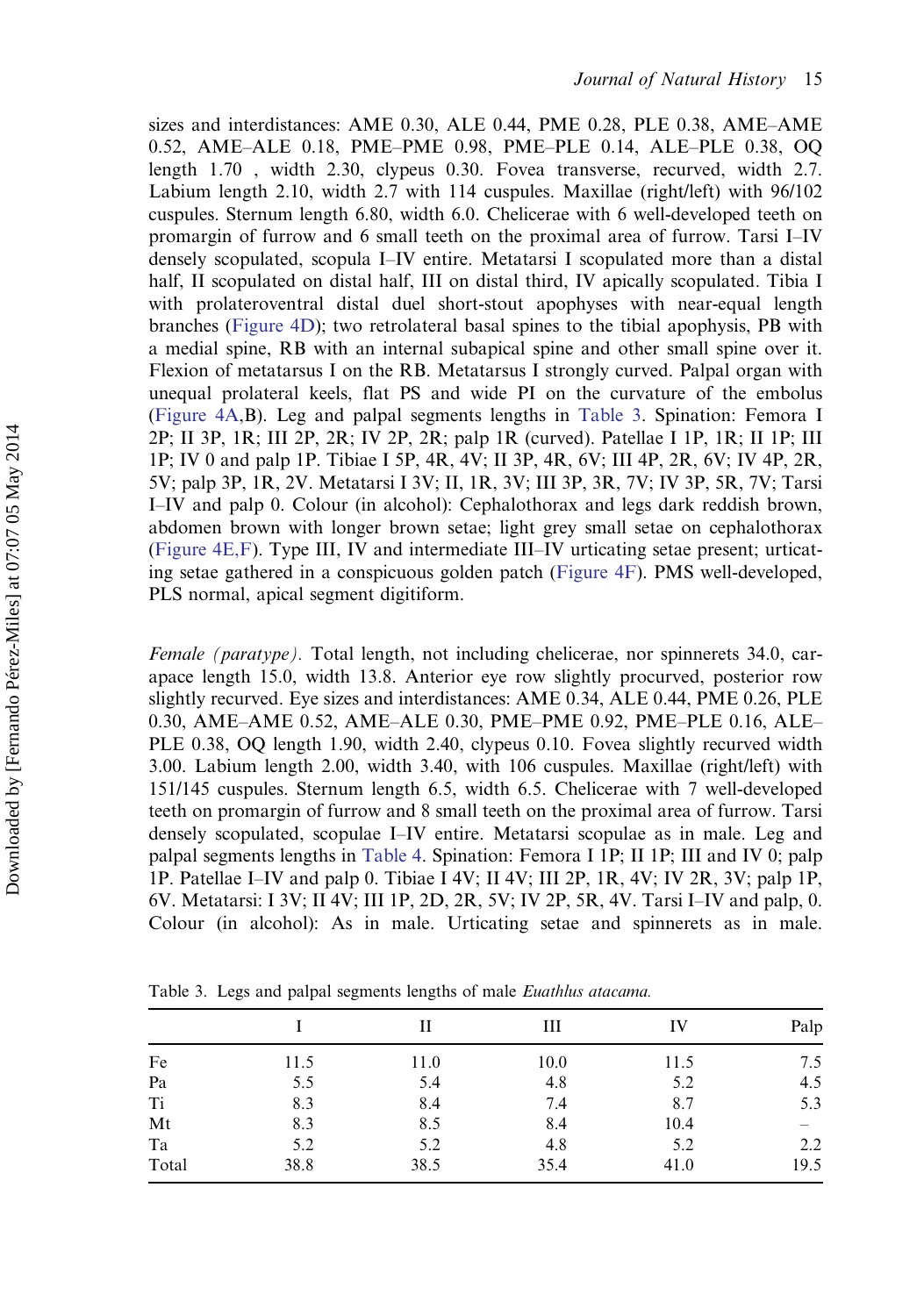sizes and interdistances: AME 0.30, ALE 0.44, PME 0.28, PLE 0.38, AME–AME 0.52, AME–ALE 0.18, PME–PME 0.98, PME–PLE 0.14, ALE–PLE 0.38, OQ length 1.70 , width 2.30, clypeus 0.30. Fovea transverse, recurved, width 2.7. Labium length 2.10, width 2.7 with 114 cuspules. Maxillae (right/left) with 96/102 cuspules. Sternum length 6.80, width 6.0. Chelicerae with 6 well-developed teeth on promargin of furrow and 6 small teeth on the proximal area of furrow. Tarsi I–IV densely scopulated, scopula I–IV entire. Metatarsi I scopulated more than a distal half, II scopulated on distal half, III on distal third, IV apically scopulated. Tibia I with prolateroventral distal duel short-stout apophyses with near-equal length branches ([Figure 4D](#page-11-0)); two retrolateral basal spines to the tibial apophysis, PB with a medial spine, RB with an internal subapical spine and other small spine over it. Flexion of metatarsus I on the RB. Metatarsus I strongly curved. Palpal organ with unequal prolateral keels, flat PS and wide PI on the curvature of the embolus ([Figure 4A,](#page-11-0)B). Leg and palpal segments lengths in Table 3. Spination: Femora I 2P; II 3P, 1R; III 2P, 2R; IV 2P, 2R; palp 1R (curved). Patellae I 1P, 1R; II 1P; III 1P; IV 0 and palp 1P. Tibiae I 5P, 4R, 4V; II 3P, 4R, 6V; III 4P, 2R, 6V; IV 4P, 2R, 5V; palp 3P, 1R, 2V. Metatarsi I 3V; II, 1R, 3V; III 3P, 3R, 7V; IV 3P, 5R, 7V; Tarsi I–IV and palp 0. Colour (in alcohol): Cephalothorax and legs dark reddish brown, abdomen brown with longer brown setae; light grey small setae on cephalothorax ([Figure 4E,F\)](#page-11-0). Type III, IV and intermediate III–IV urticating setae present; urticating setae gathered in a conspicuous golden patch ([Figure 4F\)](#page-11-0). PMS well-developed, PLS normal, apical segment digitiform.

Female (paratype). Total length, not including chelicerae, nor spinnerets 34.0, carapace length 15.0, width 13.8. Anterior eye row slightly procurved, posterior row slightly recurved. Eye sizes and interdistances: AME 0.34, ALE 0.44, PME 0.26, PLE 0.30, AME–AME 0.52, AME–ALE 0.30, PME–PME 0.92, PME–PLE 0.16, ALE– PLE 0.38, OQ length 1.90, width 2.40, clypeus 0.10. Fovea slightly recurved width 3.00. Labium length 2.00, width 3.40, with 106 cuspules. Maxillae (right/left) with 151/145 cuspules. Sternum length 6.5, width 6.5. Chelicerae with 7 well-developed teeth on promargin of furrow and 8 small teeth on the proximal area of furrow. Tarsi densely scopulated, scopulae I–IV entire. Metatarsi scopulae as in male. Leg and palpal segments lengths in [Table 4](#page-17-0). Spination: Femora I 1P; II 1P; III and IV 0; palp 1P. Patellae I–IV and palp 0. Tibiae I 4V; II 4V; III 2P, 1R, 4V; IV 2R, 3V; palp 1P, 6V. Metatarsi: I 3V; II 4V; III 1P, 2D, 2R, 5V; IV 2P, 5R, 4V. Tarsi I–IV and palp, 0. Colour (in alcohol): As in male. Urticating setae and spinnerets as in male.

|                |      | Н    | Ш    | IV   | Palp |
|----------------|------|------|------|------|------|
| Fe             | 11.5 | 11.0 | 10.0 | 11.5 | 7.5  |
| Pa             | 5.5  | 5.4  | 4.8  | 5.2  | 4.5  |
| T <sub>i</sub> | 8.3  | 8.4  | 7.4  | 8.7  | 5.3  |
| Mt             | 8.3  | 8.5  | 8.4  | 10.4 |      |
| Ta             | 5.2  | 5.2  | 4.8  | 5.2  | 2.2  |
| Total          | 38.8 | 38.5 | 35.4 | 41.0 | 19.5 |

Table 3. Legs and palpal segments lengths of male Euathlus atacama.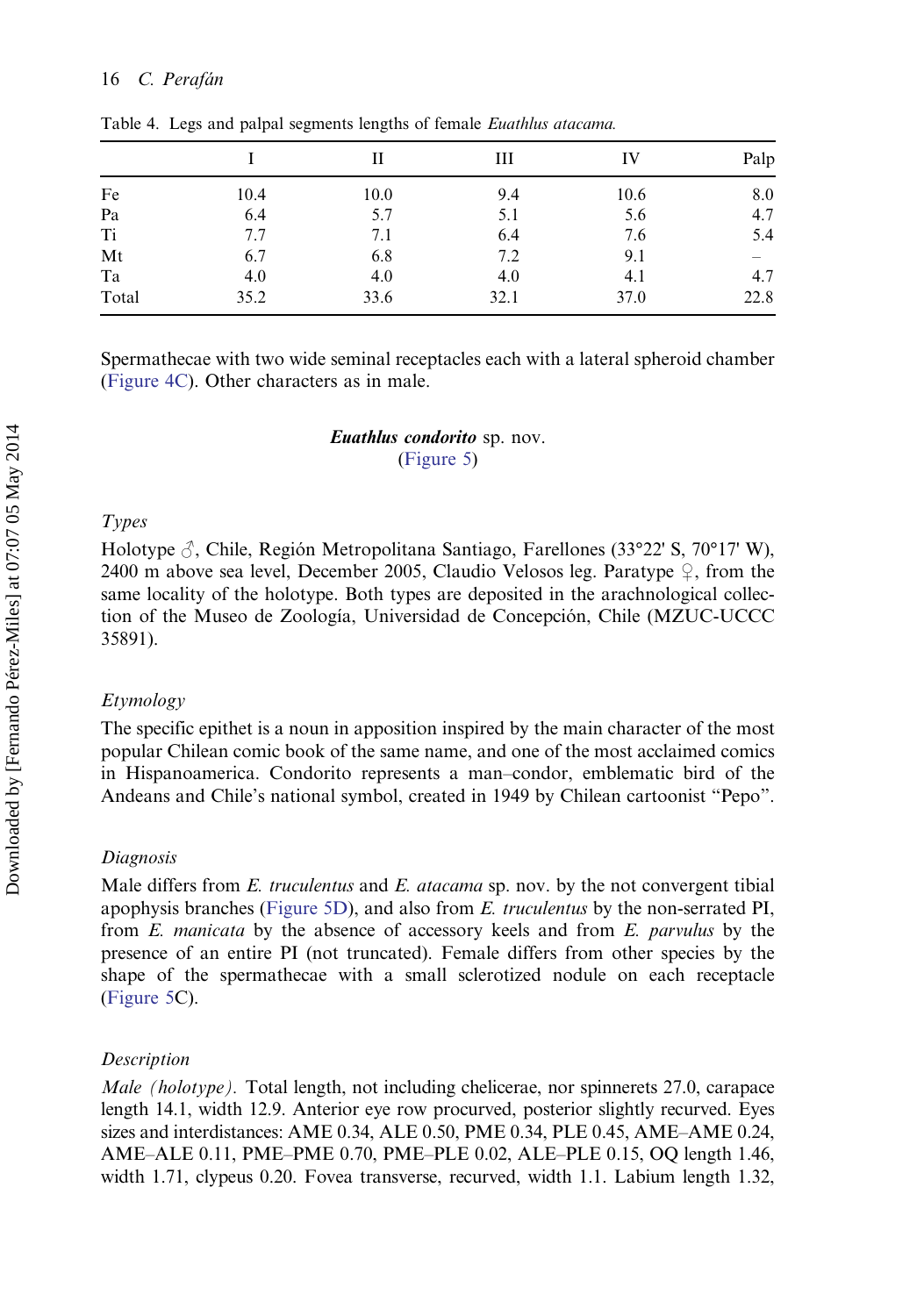|                |      | П    | Ш    | IV   | Palp |
|----------------|------|------|------|------|------|
| Fe             | 10.4 | 10.0 | 9.4  | 10.6 | 8.0  |
| Pa             | 6.4  | 5.7  | 5.1  | 5.6  | 4.7  |
| T <sub>i</sub> | 7.7  | 7.1  | 6.4  | 7.6  | 5.4  |
| Mt             | 6.7  | 6.8  | 7.2  | 9.1  |      |
| Ta             | 4.0  | 4.0  | 4.0  | 4.1  | 4.7  |
| Total          | 35.2 | 33.6 | 32.1 | 37.0 | 22.8 |

<span id="page-17-0"></span>Table 4. Legs and palpal segments lengths of female Euathlus atacama.

Spermathecae with two wide seminal receptacles each with a lateral spheroid chamber [\(Figure 4C](#page-11-0)). Other characters as in male.

> Euathlus condorito sp. nov. ([Figure 5\)](#page-12-0)

## Types

Holotype  $\beta$ , Chile, Región Metropolitana Santiago, Farellones (33°22' S, 70°17' W), 2400 m above sea level, December 2005, Claudio Velosos leg. Paratype  $\varphi$ , from the same locality of the holotype. Both types are deposited in the arachnological collection of the Museo de Zoología, Universidad de Concepción, Chile (MZUC-UCCC 35891).

## Etymology

The specific epithet is a noun in apposition inspired by the main character of the most popular Chilean comic book of the same name, and one of the most acclaimed comics in Hispanoamerica. Condorito represents a man–condor, emblematic bird of the Andeans and Chile's national symbol, created in 1949 by Chilean cartoonist "Pepo".

### Diagnosis

Male differs from E. truculentus and E. atacama sp. nov. by the not convergent tibial apophysis branches ([Figure 5D\)](#page-12-0), and also from E. truculentus by the non-serrated PI, from E. manicata by the absence of accessory keels and from E. parvulus by the presence of an entire PI (not truncated). Female differs from other species by the shape of the spermathecae with a small sclerotized nodule on each receptacle [\(Figure 5](#page-12-0)C).

## **Description**

Male (holotype). Total length, not including chelicerae, nor spinnerets 27.0, carapace length 14.1, width 12.9. Anterior eye row procurved, posterior slightly recurved. Eyes sizes and interdistances: AME 0.34, ALE 0.50, PME 0.34, PLE 0.45, AME–AME 0.24, AME–ALE 0.11, PME–PME 0.70, PME–PLE 0.02, ALE–PLE 0.15, OQ length 1.46, width 1.71, clypeus 0.20. Fovea transverse, recurved, width 1.1. Labium length 1.32,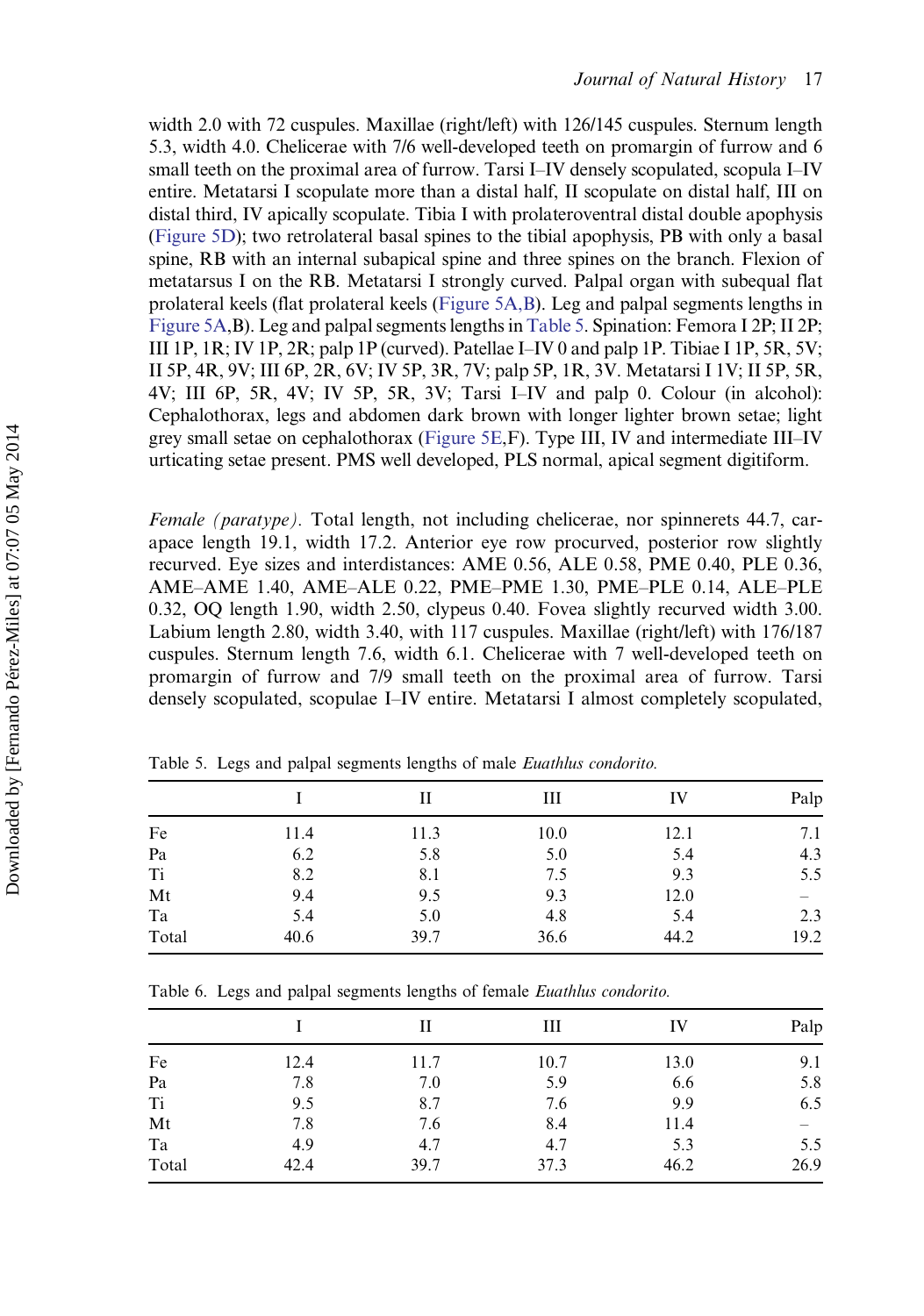<span id="page-18-0"></span>width 2.0 with 72 cuspules. Maxillae (right/left) with 126/145 cuspules. Sternum length 5.3, width 4.0. Chelicerae with 7/6 well-developed teeth on promargin of furrow and 6 small teeth on the proximal area of furrow. Tarsi I–IV densely scopulated, scopula I–IV entire. Metatarsi I scopulate more than a distal half, II scopulate on distal half, III on distal third, IV apically scopulate. Tibia I with prolateroventral distal double apophysis [\(Figure 5D\)](#page-12-0); two retrolateral basal spines to the tibial apophysis, PB with only a basal spine, RB with an internal subapical spine and three spines on the branch. Flexion of metatarsus I on the RB. Metatarsi I strongly curved. Palpal organ with subequal flat prolateral keels (flat prolateral keels [\(Figure 5A,B\)](#page-12-0). Leg and palpal segments lengths in [Figure 5A](#page-12-0),B). Leg and palpal segments lengths in Table 5. Spination: Femora I 2P; II 2P; III 1P, 1R; IV 1P, 2R; palp 1P (curved). Patellae I–IV 0 and palp 1P. Tibiae I 1P, 5R, 5V; II 5P, 4R, 9V; III 6P, 2R, 6V; IV 5P, 3R, 7V; palp 5P, 1R, 3V. Metatarsi I 1V; II 5P, 5R, 4V; III 6P, 5R, 4V; IV 5P, 5R, 3V; Tarsi I–IV and palp 0. Colour (in alcohol): Cephalothorax, legs and abdomen dark brown with longer lighter brown setae; light grey small setae on cephalothorax [\(Figure 5E](#page-12-0),F). Type III, IV and intermediate III–IV urticating setae present. PMS well developed, PLS normal, apical segment digitiform.

Female (paratype). Total length, not including chelicerae, nor spinnerets 44.7, carapace length 19.1, width 17.2. Anterior eye row procurved, posterior row slightly recurved. Eye sizes and interdistances: AME 0.56, ALE 0.58, PME 0.40, PLE 0.36, AME–AME 1.40, AME–ALE 0.22, PME–PME 1.30, PME–PLE 0.14, ALE–PLE 0.32, OQ length 1.90, width 2.50, clypeus 0.40. Fovea slightly recurved width 3.00. Labium length 2.80, width 3.40, with 117 cuspules. Maxillae (right/left) with 176/187 cuspules. Sternum length 7.6, width 6.1. Chelicerae with 7 well-developed teeth on promargin of furrow and 7/9 small teeth on the proximal area of furrow. Tarsi densely scopulated, scopulae I–IV entire. Metatarsi I almost completely scopulated,

|       |      | Н    | Ш    | IV   | Palp |
|-------|------|------|------|------|------|
| Fe    | 11.4 | 11.3 | 10.0 | 12.1 | 7.1  |
| Pa    | 6.2  | 5.8  | 5.0  | 5.4  | 4.3  |
| Ti    | 8.2  | 8.1  | 7.5  | 9.3  | 5.5  |
| Mt    | 9.4  | 9.5  | 9.3  | 12.0 |      |
| Ta    | 5.4  | 5.0  | 4.8  | 5.4  | 2.3  |
| Total | 40.6 | 39.7 | 36.6 | 44.2 | 19.2 |

Table 5. Legs and palpal segments lengths of male Euathlus condorito.

Table 6. Legs and palpal segments lengths of female Euathlus condorito.

|       |      | Н    | Ш    | IV   | Palp                           |
|-------|------|------|------|------|--------------------------------|
| Fe    | 12.4 | 11.7 | 10.7 | 13.0 | 9.1                            |
| Pa    | 7.8  | 7.0  | 5.9  | 6.6  | 5.8                            |
| Ti    | 9.5  | 8.7  | 7.6  | 9.9  | 6.5                            |
| Mt    | 7.8  | 7.6  | 8.4  | 11.4 | $\qquad \qquad \longleftarrow$ |
| Ta    | 4.9  | 4.7  | 4.7  | 5.3  | 5.5                            |
| Total | 42.4 | 39.7 | 37.3 | 46.2 | 26.9                           |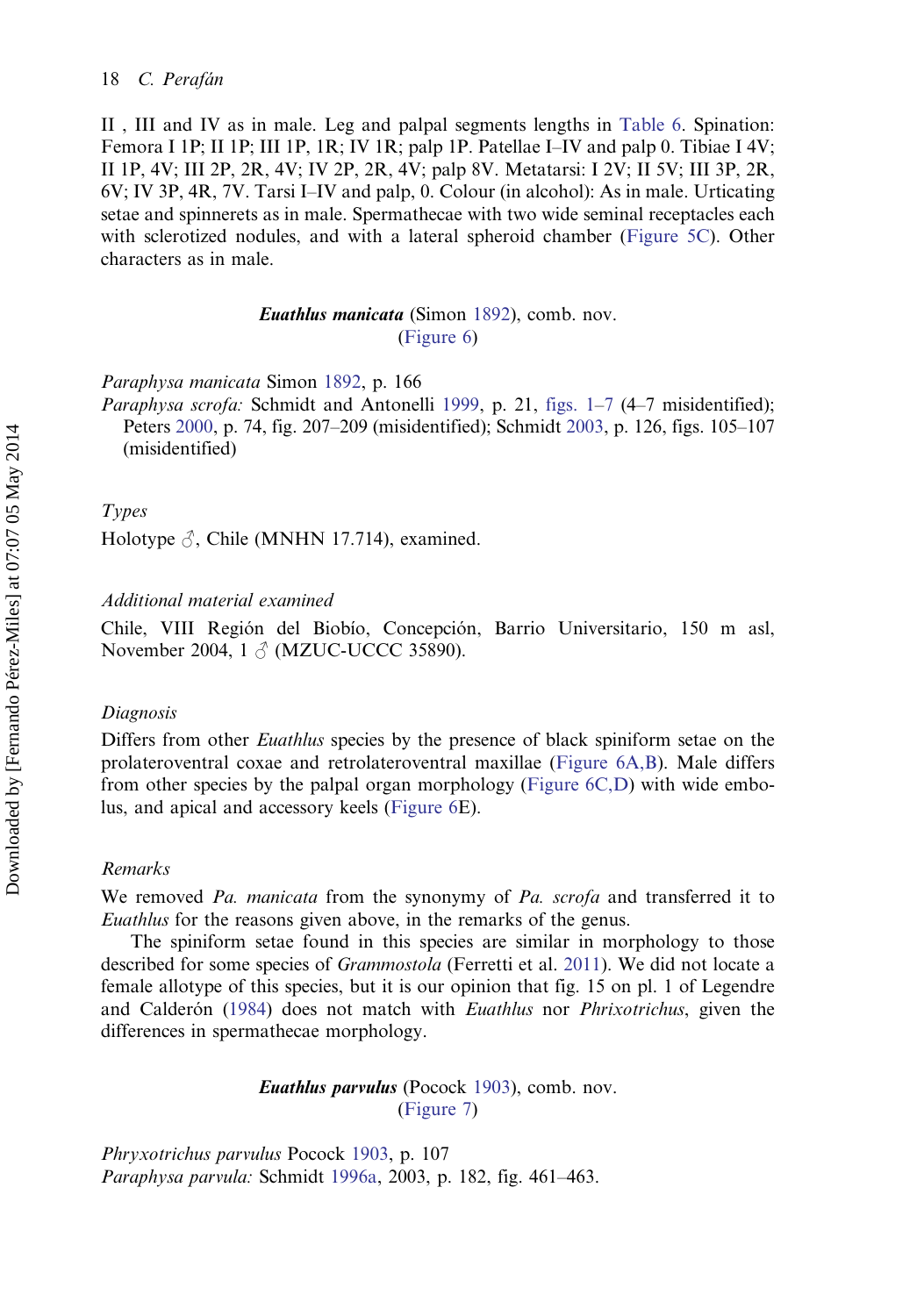II , III and IV as in male. Leg and palpal segments lengths in [Table 6.](#page-18-0) Spination: Femora I 1P; II 1P; III 1P, 1R; IV 1R; palp 1P. Patellae I–IV and palp 0. Tibiae I 4V; II 1P, 4V; III 2P, 2R, 4V; IV 2P, 2R, 4V; palp 8V. Metatarsi: I 2V; II 5V; III 3P, 2R, 6V; IV 3P, 4R, 7V. Tarsi I–IV and palp, 0. Colour (in alcohol): As in male. Urticating setae and spinnerets as in male. Spermathecae with two wide seminal receptacles each with sclerotized nodules, and with a lateral spheroid chamber [\(Figure 5C\)](#page-12-0). Other characters as in male.

## Euathlus manicata (Simon [1892\)](#page-31-0), comb. nov. ([Figure 6\)](#page-12-0)

Paraphysa manicata Simon [1892,](#page-31-0) p. 166

Paraphysa scrofa: Schmidt and Antonelli [1999](#page-30-0), p. 21, [figs. 1](#page-7-0)–[7](#page-13-0) (4–7 misidentified); Peters [2000,](#page-30-0) p. 74, fig. 207–209 (misidentified); Schmidt [2003](#page-30-0), p. 126, figs. 105–107 (misidentified)

## Types

Holotype  $\Im$ , Chile (MNHN 17.714), examined.

#### Additional material examined

Chile, VIII Región del Biobío, Concepción, Barrio Universitario, 150 m asl, November 2004, 1 ♂ (MZUC-UCCC 35890).

### Diagnosis

Differs from other *Euathlus* species by the presence of black spiniform setae on the prolateroventral coxae and retrolateroventral maxillae ([Figure 6A,B](#page-12-0)). Male differs from other species by the palpal organ morphology [\(Figure 6C,D\)](#page-12-0) with wide embolus, and apical and accessory keels [\(Figure 6E](#page-12-0)).

#### Remarks

We removed Pa. manicata from the synonymy of Pa. scrofa and transferred it to Euathlus for the reasons given above, in the remarks of the genus.

The spiniform setae found in this species are similar in morphology to those described for some species of Grammostola (Ferretti et al. [2011](#page-29-0)). We did not locate a female allotype of this species, but it is our opinion that fig. 15 on pl. 1 of Legendre and Calderón [\(1984](#page-29-0)) does not match with *Euathlus* nor *Phrixotrichus*, given the differences in spermathecae morphology.

> Euathlus parvulus (Pocock [1903\)](#page-30-0), comb. nov. ([Figure 7\)](#page-13-0)

Phryxotrichus parvulus Pocock [1903,](#page-30-0) p. 107 Paraphysa parvula: Schmidt [1996a](#page-30-0), 2003, p. 182, fig. 461–463.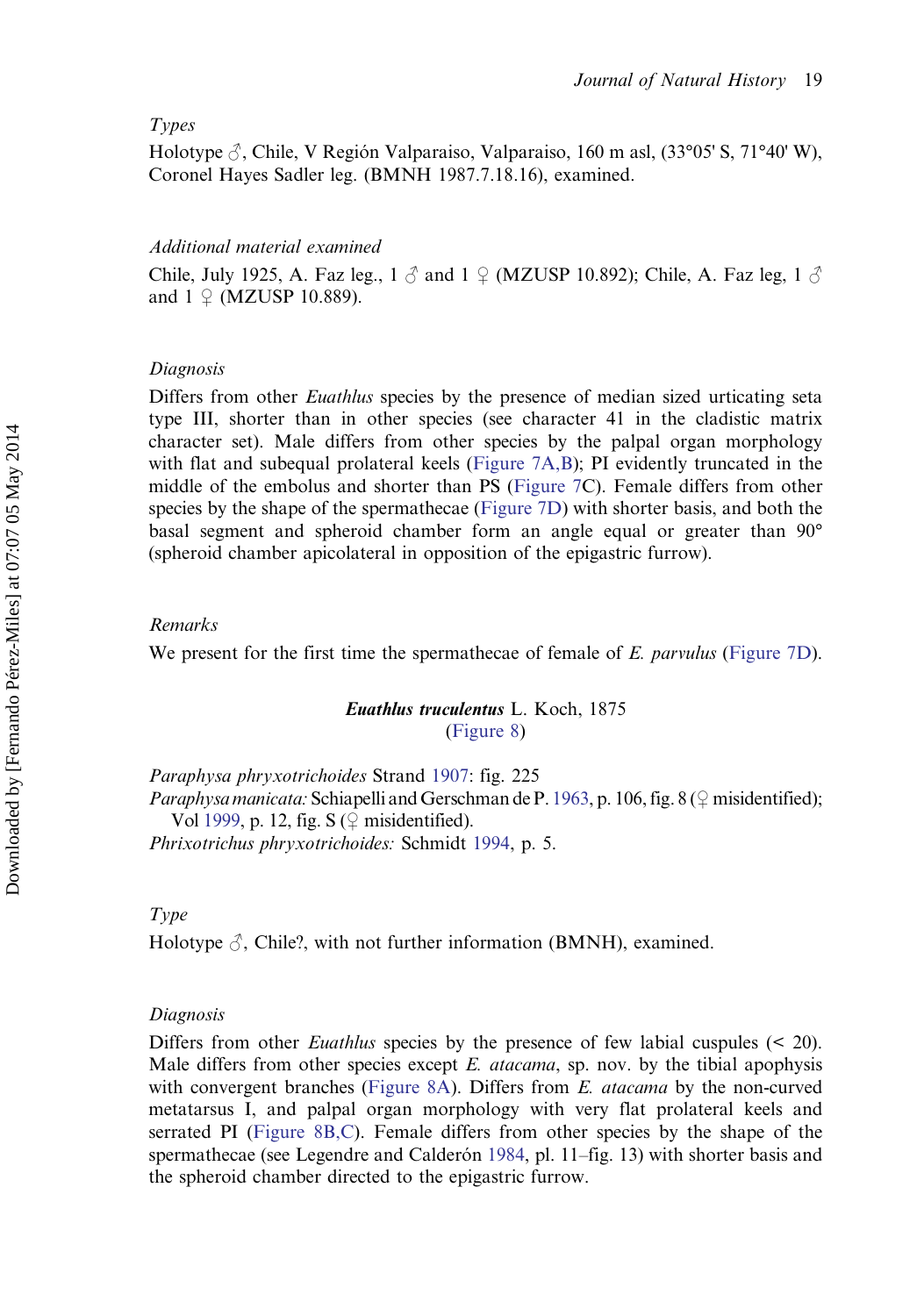## Types

Holotype  $\beta$ , Chile, V Región Valparaiso, Valparaiso, 160 m asl,  $(33^{\circ}05^{\circ}S, 71^{\circ}40^{\circ}W)$ , Coronel Hayes Sadler leg. (BMNH 1987.7.18.16), examined.

## Additional material examined

Chile, July 1925, A. Faz leg.,  $1 \beta$  and  $1 \beta$  (MZUSP 10.892); Chile, A. Faz leg. 1  $\beta$ and  $1 \nsubseteq$  (MZUSP 10.889).

## Diagnosis

Differs from other *Euathlus* species by the presence of median sized urticating seta type III, shorter than in other species (see character 41 in the cladistic matrix character set). Male differs from other species by the palpal organ morphology with flat and subequal prolateral keels [\(Figure 7A,B\)](#page-13-0); PI evidently truncated in the middle of the embolus and shorter than PS [\(Figure 7C](#page-13-0)). Female differs from other species by the shape of the spermathecae [\(Figure 7D](#page-13-0)) with shorter basis, and both the basal segment and spheroid chamber form an angle equal or greater than 90° (spheroid chamber apicolateral in opposition of the epigastric furrow).

## Remarks

We present for the first time the spermathecae of female of E. parvulus [\(Figure 7D](#page-13-0)).

## Euathlus truculentus L. Koch, 1875 [\(Figure 8](#page-13-0))

Paraphysa phryxotrichoides Strand [1907](#page-31-0): fig. 225 *Paraphysa manicata:* Schiapelli and Gerschman de P. [1963,](#page-30-0) p. 106, fig. 8 ( $\circ$  misidentified); Vol [1999](#page-31-0), p. 12, fig. S  $(\frac{6}{7})$  misidentified). Phrixotrichus phryxotrichoides: Schmidt [1994](#page-30-0), p. 5.

Type

Holotype  $\beta$ , Chile?, with not further information (BMNH), examined.

#### Diagnosis

Differs from other *Euathlus* species by the presence of few labial cuspules (< 20). Male differs from other species except E. *atacama*, sp. nov. by the tibial apophysis with convergent branches [\(Figure 8A\)](#page-13-0). Differs from E. *atacama* by the non-curved metatarsus I, and palpal organ morphology with very flat prolateral keels and serrated PI [\(Figure 8B,C](#page-13-0)). Female differs from other species by the shape of the spermathecae (see Legendre and Calderón [1984](#page-29-0), pl. 11–fig. 13) with shorter basis and the spheroid chamber directed to the epigastric furrow.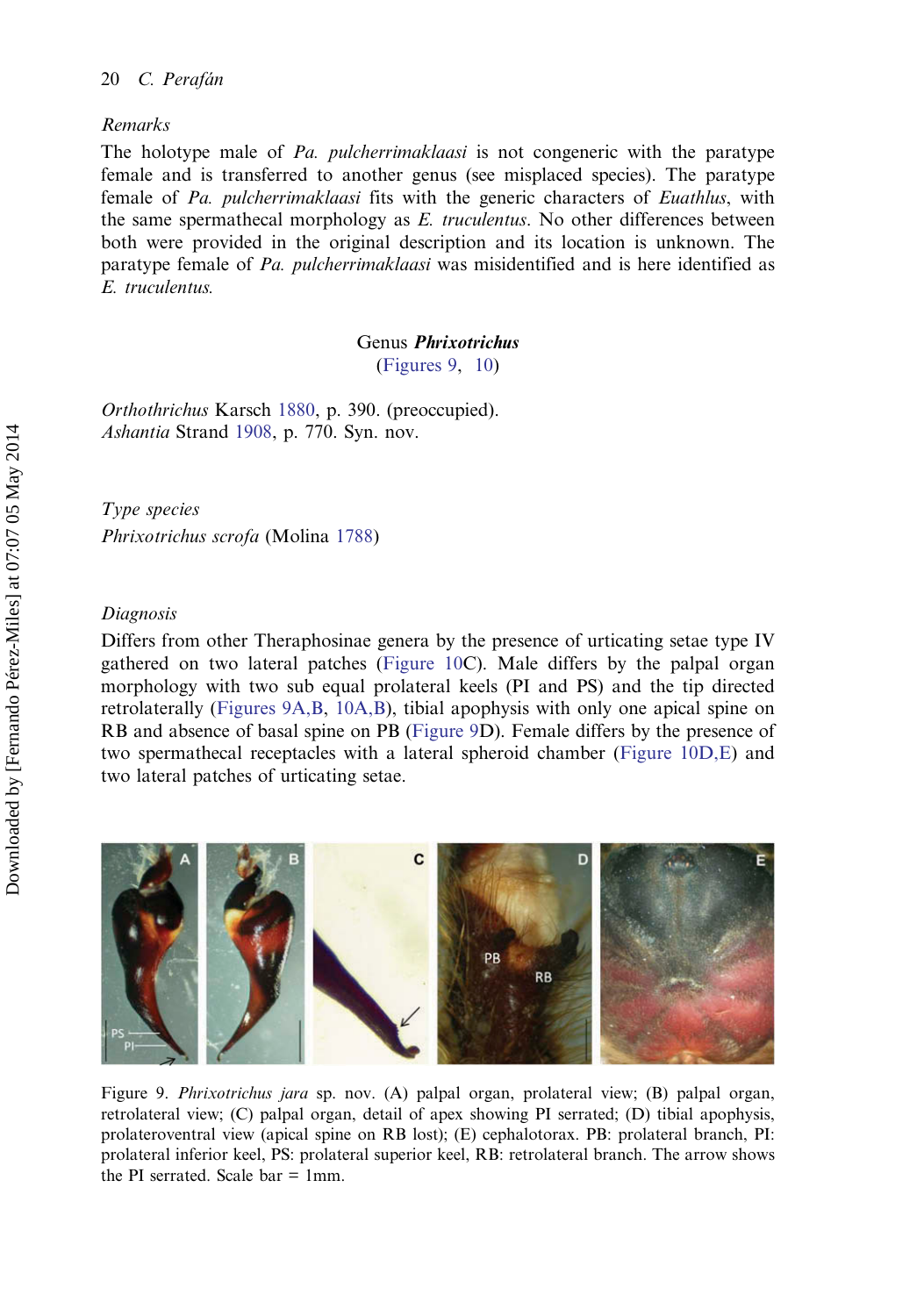## <span id="page-21-0"></span>Remarks

The holotype male of Pa. pulcherrimaklaasi is not congeneric with the paratype female and is transferred to another genus (see misplaced species). The paratype female of Pa. pulcherrimaklaasi fits with the generic characters of Euathlus, with the same spermathecal morphology as  $E$ . truculentus. No other differences between both were provided in the original description and its location is unknown. The paratype female of Pa. pulcherrimaklaasi was misidentified and is here identified as E. truculentus.

## Genus Phrixotrichus

(Figures 9, [10](#page-22-0))

Orthothrichus Karsch [1880](#page-29-0), p. 390. (preoccupied). Ashantia Strand [1908](#page-31-0), p. 770. Syn. nov.

Type species Phrixotrichus scrofa (Molina [1788](#page-29-0))

### Diagnosis

Differs from other Theraphosinae genera by the presence of urticating setae type IV gathered on two lateral patches [\(Figure 10](#page-22-0)C). Male differs by the palpal organ morphology with two sub equal prolateral keels (PI and PS) and the tip directed retrolaterally (Figures 9A,B, [10A,B](#page-22-0)), tibial apophysis with only one apical spine on RB and absence of basal spine on PB (Figure 9D). Female differs by the presence of two spermathecal receptacles with a lateral spheroid chamber ([Figure 10D,E\)](#page-22-0) and two lateral patches of urticating setae.



Figure 9. Phrixotrichus jara sp. nov. (A) palpal organ, prolateral view; (B) palpal organ, retrolateral view; (C) palpal organ, detail of apex showing PI serrated; (D) tibial apophysis, prolateroventral view (apical spine on RB lost); (E) cephalotorax. PB: prolateral branch, PI: prolateral inferior keel, PS: prolateral superior keel, RB: retrolateral branch. The arrow shows the PI serrated. Scale  $bar = 1$ mm.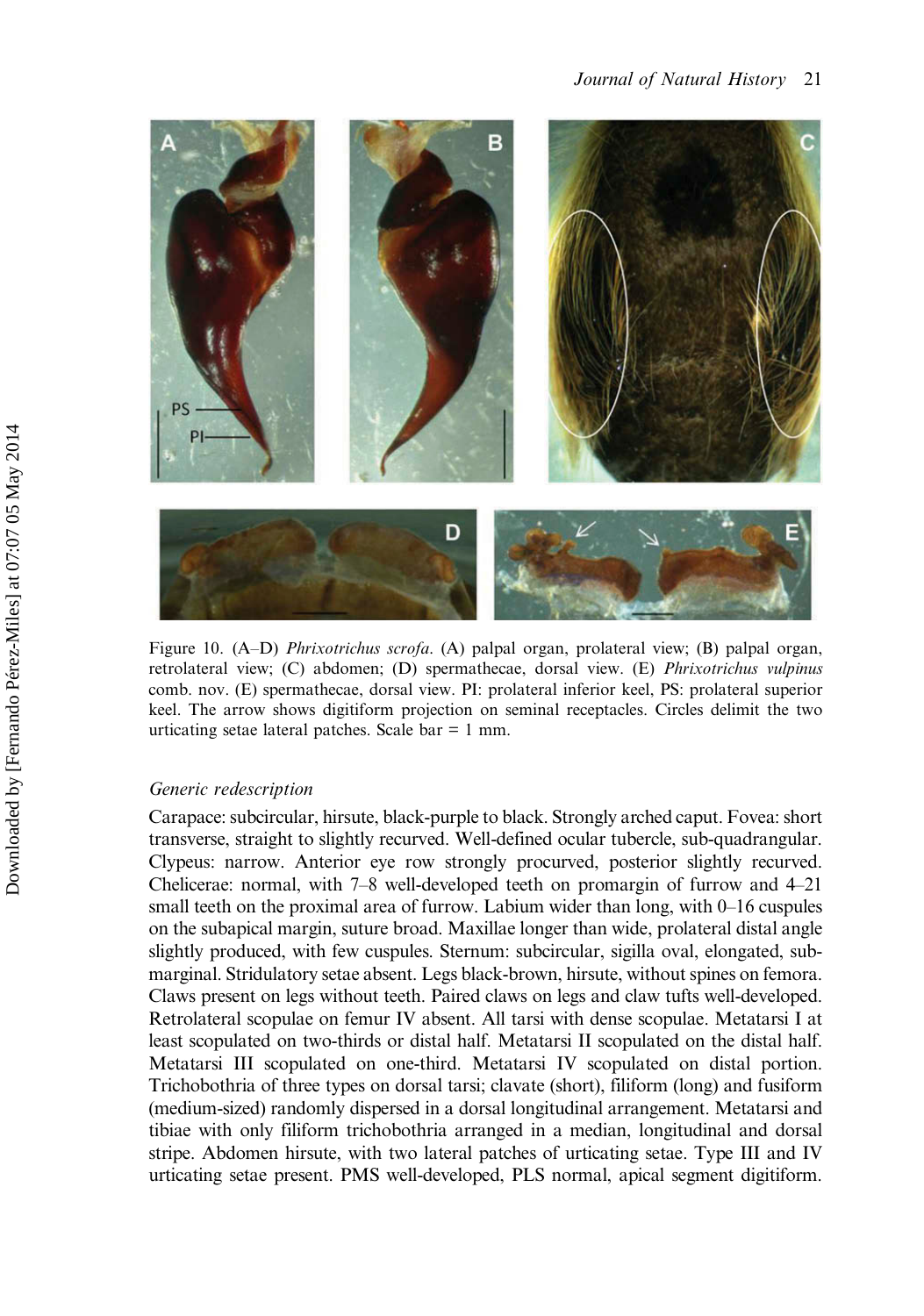<span id="page-22-0"></span>

Figure 10. (A–D) Phrixotrichus scrofa. (A) palpal organ, prolateral view; (B) palpal organ, retrolateral view; (C) abdomen; (D) spermathecae, dorsal view. (E) Phrixotrichus vulpinus comb. nov. (E) spermathecae, dorsal view. PI: prolateral inferior keel, PS: prolateral superior keel. The arrow shows digitiform projection on seminal receptacles. Circles delimit the two urticating setae lateral patches. Scale bar = 1 mm.

#### Generic redescription

Carapace: subcircular, hirsute, black-purple to black. Strongly arched caput. Fovea: short transverse, straight to slightly recurved. Well-defined ocular tubercle, sub-quadrangular. Clypeus: narrow. Anterior eye row strongly procurved, posterior slightly recurved. Chelicerae: normal, with 7–8 well-developed teeth on promargin of furrow and 4–21 small teeth on the proximal area of furrow. Labium wider than long, with 0–16 cuspules on the subapical margin, suture broad. Maxillae longer than wide, prolateral distal angle slightly produced, with few cuspules. Sternum: subcircular, sigilla oval, elongated, submarginal. Stridulatory setae absent. Legs black-brown, hirsute, without spines on femora. Claws present on legs without teeth. Paired claws on legs and claw tufts well-developed. Retrolateral scopulae on femur IV absent. All tarsi with dense scopulae. Metatarsi I at least scopulated on two-thirds or distal half. Metatarsi II scopulated on the distal half. Metatarsi III scopulated on one-third. Metatarsi IV scopulated on distal portion. Trichobothria of three types on dorsal tarsi; clavate (short), filiform (long) and fusiform (medium-sized) randomly dispersed in a dorsal longitudinal arrangement. Metatarsi and tibiae with only filiform trichobothria arranged in a median, longitudinal and dorsal stripe. Abdomen hirsute, with two lateral patches of urticating setae. Type III and IV urticating setae present. PMS well-developed, PLS normal, apical segment digitiform.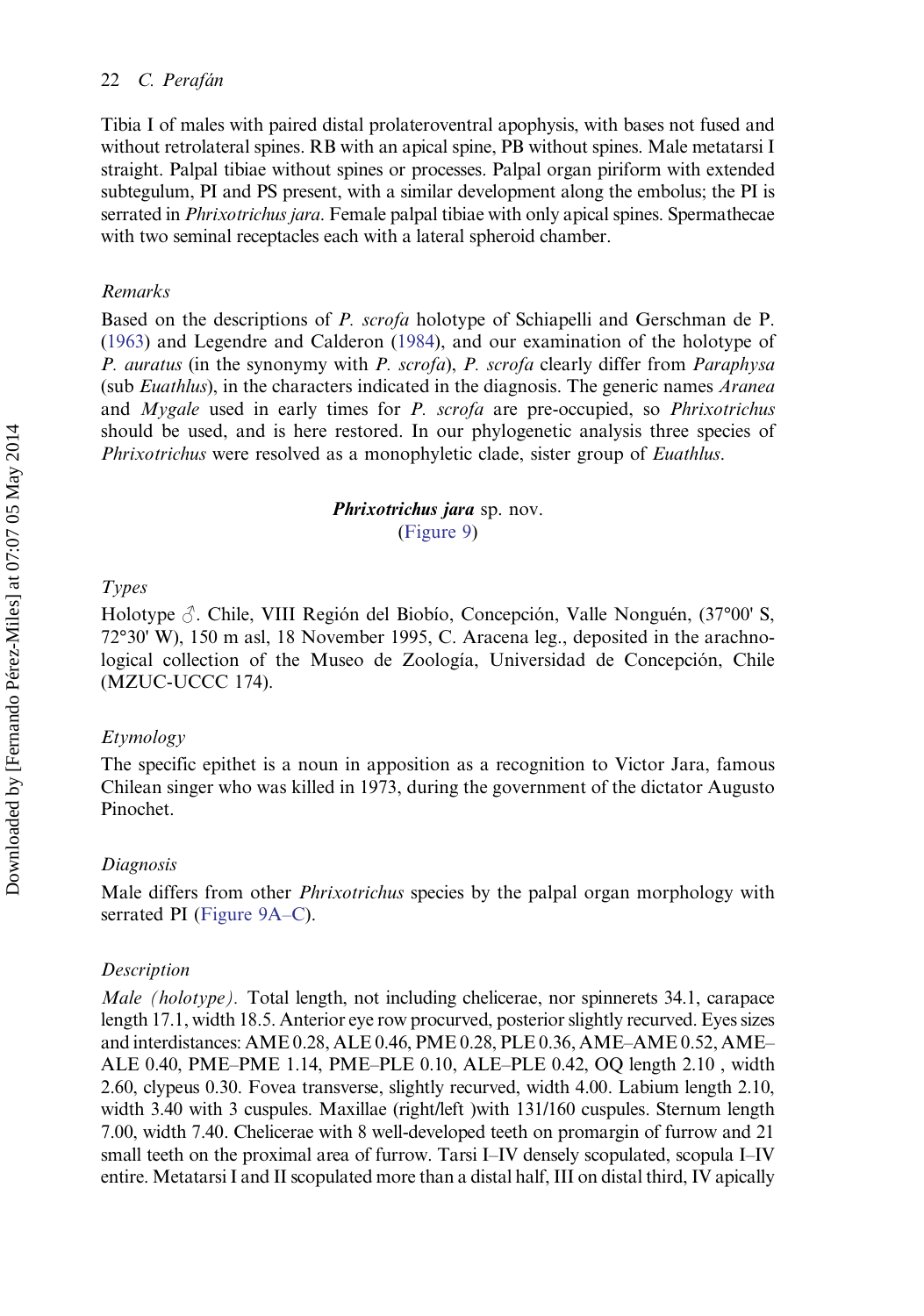Tibia I of males with paired distal prolateroventral apophysis, with bases not fused and without retrolateral spines. RB with an apical spine, PB without spines. Male metatarsi I straight. Palpal tibiae without spines or processes. Palpal organ piriform with extended subtegulum, PI and PS present, with a similar development along the embolus; the PI is serrated in *Phrixotrichus jara*. Female palpal tibiae with only apical spines. Spermathecae with two seminal receptacles each with a lateral spheroid chamber.

## Remarks

Based on the descriptions of P. scrofa holotype of Schiapelli and Gerschman de P. [\(1963](#page-30-0)) and Legendre and Calderon [\(1984](#page-29-0)), and our examination of the holotype of P. auratus (in the synonymy with P. scrofa), P. scrofa clearly differ from Paraphysa (sub *Euathlus*), in the characters indicated in the diagnosis. The generic names *Aranea* and Mygale used in early times for P. scrofa are pre-occupied, so Phrixotrichus should be used, and is here restored. In our phylogenetic analysis three species of Phrixotrichus were resolved as a monophyletic clade, sister group of Euathlus.

## Phrixotrichus jara sp. nov. ([Figure 9\)](#page-21-0)

## Types

Holotype  $\beta$ . Chile, VIII Región del Biobío, Concepción, Valle Nonguén, (37°00' S, 72°30' W), 150 m asl, 18 November 1995, C. Aracena leg., deposited in the arachnological collection of the Museo de Zoología, Universidad de Concepción, Chile (MZUC-UCCC 174).

## Etymology

The specific epithet is a noun in apposition as a recognition to Victor Jara, famous Chilean singer who was killed in 1973, during the government of the dictator Augusto Pinochet.

## Diagnosis

Male differs from other *Phrixotrichus* species by the palpal organ morphology with serrated PI ([Figure 9A](#page-21-0)–C).

#### Description

Male (holotype). Total length, not including chelicerae, nor spinnerets 34.1, carapace length 17.1, width 18.5. Anterior eye row procurved, posterior slightly recurved. Eyes sizes and interdistances: AME 0.28, ALE 0.46, PME 0.28, PLE 0.36, AME–AME 0.52, AME– ALE 0.40, PME–PME 1.14, PME–PLE 0.10, ALE–PLE 0.42, OQ length 2.10 , width 2.60, clypeus 0.30. Fovea transverse, slightly recurved, width 4.00. Labium length 2.10, width 3.40 with 3 cuspules. Maxillae (right/left )with 131/160 cuspules. Sternum length 7.00, width 7.40. Chelicerae with 8 well-developed teeth on promargin of furrow and 21 small teeth on the proximal area of furrow. Tarsi I–IV densely scopulated, scopula I–IV entire. Metatarsi I and II scopulated more than a distal half, III on distal third, IV apically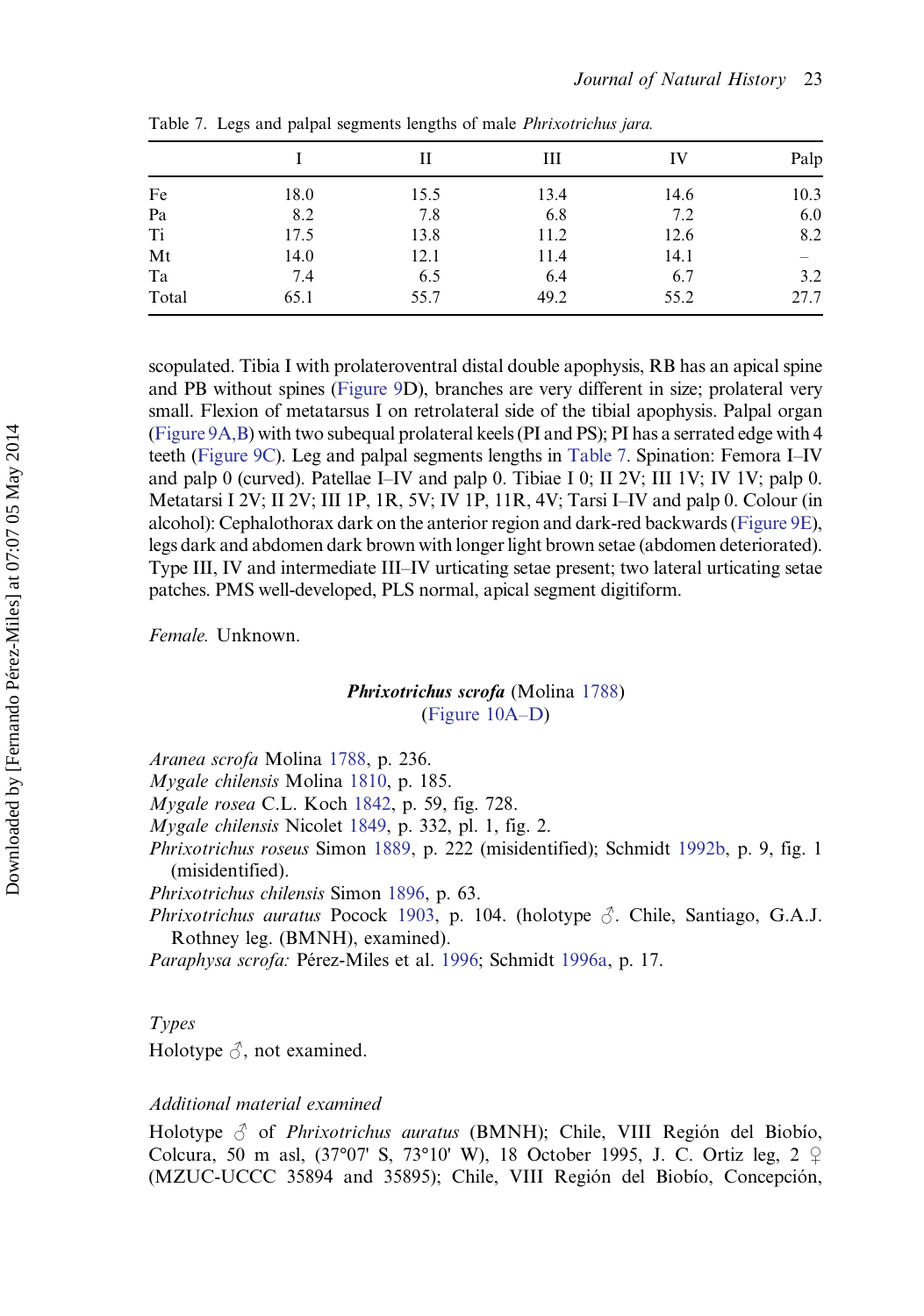|       |      |      | Ш    | IV   | Palp |
|-------|------|------|------|------|------|
| Fe    | 18.0 | 15.5 | 13.4 | 14.6 | 10.3 |
| Pa    | 8.2  | 7.8  | 6.8  | 7.2  | 6.0  |
| Ti    | 17.5 | 13.8 | 11.2 | 12.6 | 8.2  |
| Mt    | 14.0 | 12.1 | 11.4 | 14.1 |      |
| Ta    | 7.4  | 6.5  | 6.4  | 6.7  | 3.2  |
| Total | 65.1 | 55.7 | 49.2 | 55.2 | 27.7 |

Table 7. Legs and palpal segments lengths of male Phrixotrichus jara.

scopulated. Tibia I with prolateroventral distal double apophysis, RB has an apical spine and PB without spines ([Figure 9](#page-21-0)D), branches are very different in size; prolateral very small. Flexion of metatarsus I on retrolateral side of the tibial apophysis. Palpal organ [\(Figure 9A,B\)](#page-21-0) with two subequal prolateral keels (PI and PS); PI has a serrated edge with 4 teeth [\(Figure 9C](#page-21-0)). Leg and palpal segments lengths in Table 7. Spination: Femora I–IV and palp 0 (curved). Patellae I–IV and palp 0. Tibiae I 0; II 2V; III 1V; IV 1V; palp 0. Metatarsi I 2V; II 2V; III 1P, 1R, 5V; IV 1P, 11R, 4V; Tarsi I–IV and palp 0. Colour (in alcohol): Cephalothorax dark on the anterior region and dark-red backwards [\(Figure 9E\)](#page-21-0), legs dark and abdomen dark brown with longer light brown setae (abdomen deteriorated). Type III, IV and intermediate III–IV urticating setae present; two lateral urticating setae patches. PMS well-developed, PLS normal, apical segment digitiform.

Female. Unknown.

## Phrixotrichus scrofa (Molina [1788](#page-29-0)) [\(Figure 10A](#page-22-0)–D)

Aranea scrofa Molina [1788,](#page-29-0) p. 236.

Mygale chilensis Molina [1810,](#page-29-0) p. 185.

Mygale rosea C.L. Koch [1842,](#page-29-0) p. 59, fig. 728.

Mygale chilensis Nicolet [1849](#page-29-0), p. 332, pl. 1, fig. 2.

Phrixotrichus roseus Simon [1889,](#page-31-0) p. 222 (misidentified); Schmidt [1992b](#page-30-0), p. 9, fig. 1 (misidentified).

Phrixotrichus chilensis Simon [1896,](#page-31-0) p. 63.

Phrixotrichus auratus Pocock [1903](#page-30-0), p. 104. (holotype  $\Diamond$ . Chile, Santiago, G.A.J. Rothney leg. (BMNH), examined).

Paraphysa scrofa: Pérez-Miles et al. [1996;](#page-30-0) Schmidt [1996a](#page-30-0), p. 17.

#### Types

Holotype  $\Diamond$ , not examined.

## Additional material examined

Holotype  $\beta$  of *Phrixotrichus auratus* (BMNH); Chile, VIII Región del Biobío, Colcura, 50 m asl, (37°07' S, 73°10' W), 18 October 1995, J. C. Ortiz leg, 2 ♀ (MZUC-UCCC 35894 and 35895); Chile, VIII Región del Biobío, Concepción,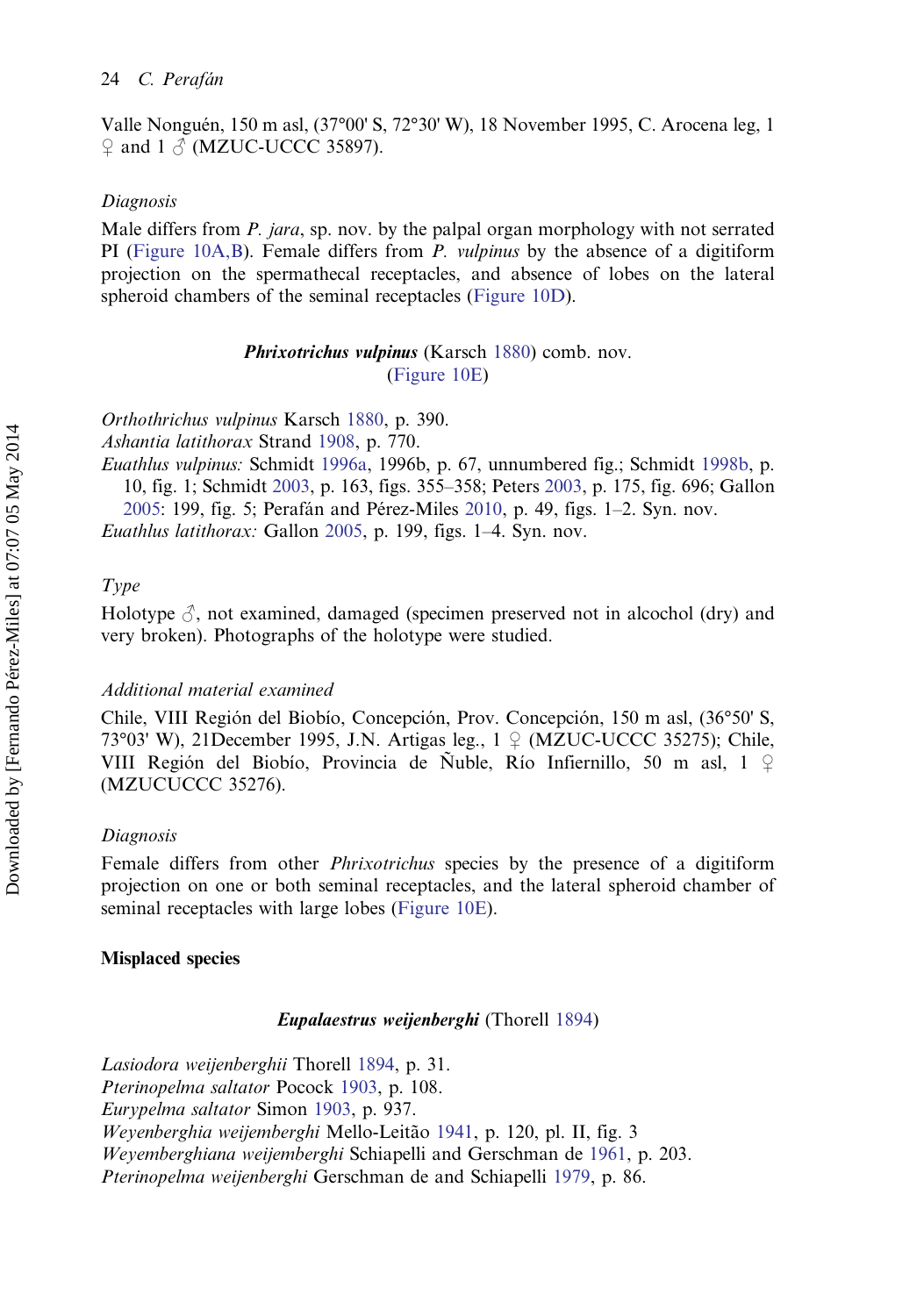Valle Nonguén, 150 m asl, (37°00' S, 72°30' W), 18 November 1995, C. Arocena leg, 1  $\Omega$  and 1  $\delta$  (MZUC-UCCC 35897).

#### Diagnosis

Male differs from P. jara, sp. nov. by the palpal organ morphology with not serrated PI ([Figure 10A,B\)](#page-22-0). Female differs from  $P$ . *vulpinus* by the absence of a digitiform projection on the spermathecal receptacles, and absence of lobes on the lateral spheroid chambers of the seminal receptacles ([Figure 10D\)](#page-22-0).

> Phrixotrichus vulpinus (Karsch [1880](#page-29-0)) comb. nov. ([Figure 10E\)](#page-22-0)

Orthothrichus vulpinus Karsch [1880,](#page-29-0) p. 390.

Ashantia latithorax Strand [1908,](#page-31-0) p. 770.

Euathlus vulpinus: Schmidt [1996a](#page-30-0), 1996b, p. 67, unnumbered fig.; Schmidt [1998b,](#page-30-0) p. 10, fig. 1; Schmidt [2003,](#page-30-0) p. 163, figs. 355–358; Peters [2003,](#page-30-0) p. 175, fig. 696; Gallon [2005:](#page-29-0) 199, fig. 5; Perafán and Pérez-Miles [2010](#page-29-0), p. 49, figs. 1–2. Syn. nov. Euathlus latithorax: Gallon [2005,](#page-29-0) p. 199, figs. 1–4. Syn. nov.

## Type

Holotype  $\mathcal{S}$ , not examined, damaged (specimen preserved not in alcochol (dry) and very broken). Photographs of the holotype were studied.

### Additional material examined

Chile, VIII Región del Biobío, Concepción, Prov. Concepción, 150 m asl, (36°50' S, 73°03' W), 21 December 1995, J.N. Artigas leg.,  $1 \nsubseteq (MZUC-UCCC 35275)$ ; Chile, VIII Región del Biobío, Provincia de Ñuble, Río Infiernillo, 50 m asl, 1 ♀ (MZUCUCCC 35276).

### Diagnosis

Female differs from other *Phrixotrichus* species by the presence of a digitiform projection on one or both seminal receptacles, and the lateral spheroid chamber of seminal receptacles with large lobes [\(Figure 10E\)](#page-22-0).

#### Misplaced species

#### Eupalaestrus weijenberghi (Thorell [1894\)](#page-31-0)

Lasiodora weijenberghii Thorell [1894,](#page-31-0) p. 31. Pterinopelma saltator Pocock [1903,](#page-30-0) p. 108. Eurypelma saltator Simon [1903,](#page-31-0) p. 937. Weyenberghia weijemberghi Mello-Leitão [1941,](#page-29-0) p. 120, pl. II, fig. 3 Weyemberghiana weijemberghi Schiapelli and Gerschman de [1961,](#page-30-0) p. 203. Pterinopelma weijenberghi Gerschman de and Schiapelli [1979](#page-29-0), p. 86.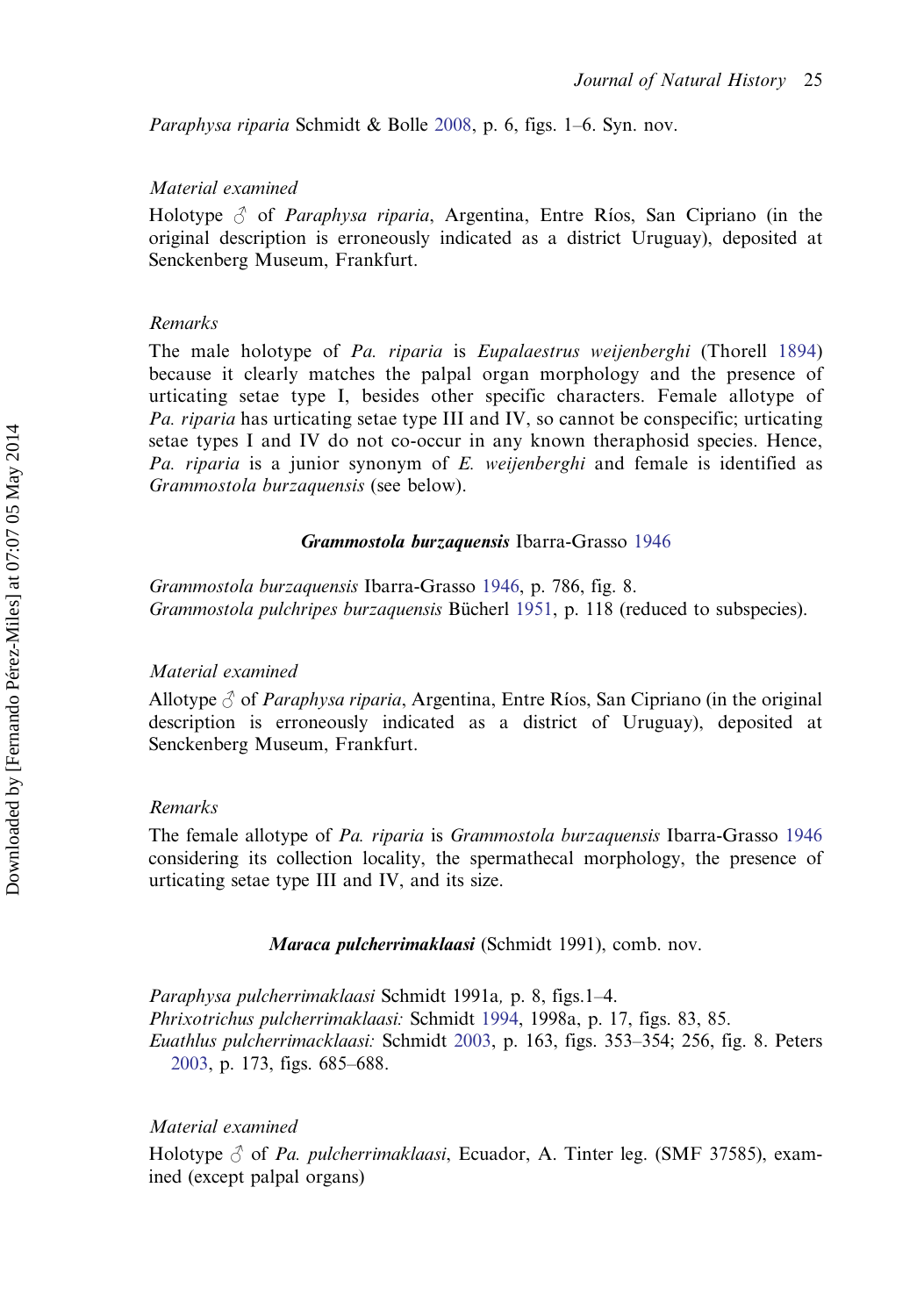Paraphysa riparia Schmidt & Bolle [2008,](#page-30-0) p. 6, figs. 1–6. Syn. nov.

## Material examined

Holotype  $\beta$  of *Paraphysa riparia*, Argentina, Entre Ríos, San Cipriano (in the original description is erroneously indicated as a district Uruguay), deposited at Senckenberg Museum, Frankfurt.

## Remarks

The male holotype of Pa. riparia is Eupalaestrus weijenberghi (Thorell [1894](#page-31-0)) because it clearly matches the palpal organ morphology and the presence of urticating setae type I, besides other specific characters. Female allotype of Pa. riparia has urticating setae type III and IV, so cannot be conspecific; urticating setae types I and IV do not co-occur in any known theraphosid species. Hence, Pa. riparia is a junior synonym of E. weijenberghi and female is identified as Grammostola burzaquensis (see below).

#### Grammostola burzaquensis Ibarra-Grasso [1946](#page-29-0)

Grammostola burzaquensis Ibarra-Grasso [1946](#page-29-0), p. 786, fig. 8. Grammostola pulchripes burzaquensis Bücherl [1951](#page-28-0), p. 118 (reduced to subspecies).

## Material examined

Allotype  $\delta$  of *Paraphysa riparia*, Argentina, Entre Ríos, San Cipriano (in the original description is erroneously indicated as a district of Uruguay), deposited at Senckenberg Museum, Frankfurt.

#### Remarks

The female allotype of Pa. riparia is Grammostola burzaquensis Ibarra-Grasso [1946](#page-29-0) considering its collection locality, the spermathecal morphology, the presence of urticating setae type III and IV, and its size.

Maraca pulcherrimaklaasi (Schmidt 1991), comb. nov.

Paraphysa pulcherrimaklaasi Schmidt 1991a, p. 8, figs.1–4. Phrixotrichus pulcherrimaklaasi: Schmidt [1994,](#page-30-0) 1998a, p. 17, figs. 83, 85. Euathlus pulcherrimacklaasi: Schmidt [2003](#page-30-0), p. 163, figs. 353–354; 256, fig. 8. Peters [2003](#page-30-0), p. 173, figs. 685–688.

Material examined

Holotype  $\delta$  of Pa. pulcherrimaklaasi, Ecuador, A. Tinter leg. (SMF 37585), examined (except palpal organs)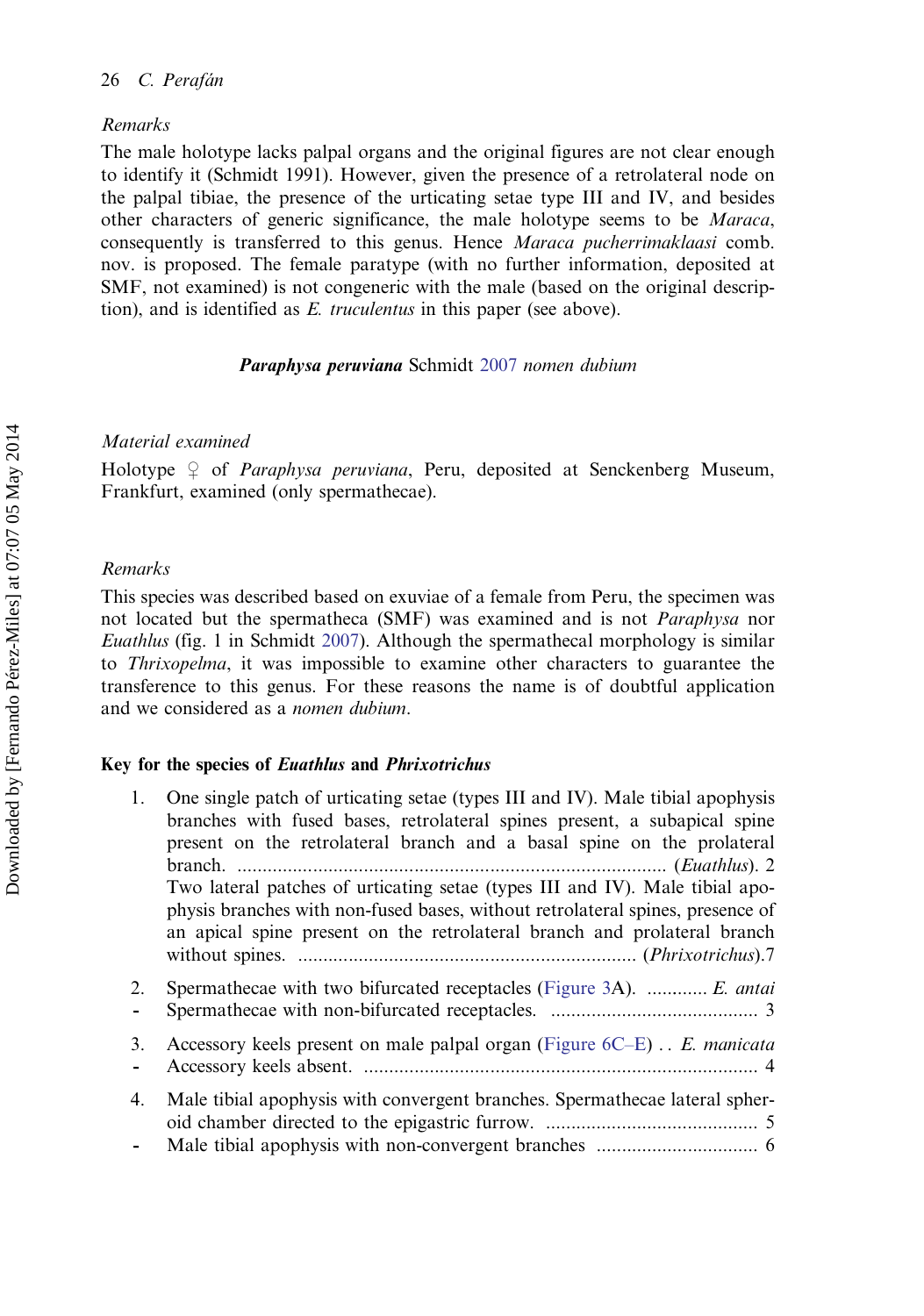## Remarks

The male holotype lacks palpal organs and the original figures are not clear enough to identify it (Schmidt 1991). However, given the presence of a retrolateral node on the palpal tibiae, the presence of the urticating setae type III and IV, and besides other characters of generic significance, the male holotype seems to be Maraca, consequently is transferred to this genus. Hence Maraca pucherrimaklaasi comb. nov. is proposed. The female paratype (with no further information, deposited at SMF, not examined) is not congeneric with the male (based on the original description), and is identified as E. truculentus in this paper (see above).

Paraphysa peruviana Schmidt [2007](#page-30-0) nomen dubium

## Material examined

Holotype  $\varphi$  of *Paraphysa peruviana*, Peru, deposited at Senckenberg Museum, Frankfurt, examined (only spermathecae).

## Remarks

This species was described based on exuviae of a female from Peru, the specimen was not located but the spermatheca (SMF) was examined and is not Paraphysa nor Euathlus (fig. 1 in Schmidt [2007\)](#page-30-0). Although the spermathecal morphology is similar to Thrixopelma, it was impossible to examine other characters to guarantee the transference to this genus. For these reasons the name is of doubtful application and we considered as a nomen dubium.

## Key for the species of Euathlus and Phrixotrichus

- 1. One single patch of urticating setae (types III and IV). Male tibial apophysis branches with fused bases, retrolateral spines present, a subapical spine present on the retrolateral branch and a basal spine on the prolateral branch. ..................................................................................... (Euathlus). 2 Two lateral patches of urticating setae (types III and IV). Male tibial apophysis branches with non-fused bases, without retrolateral spines, presence of an apical spine present on the retrolateral branch and prolateral branch without spines. ................................................................... (Phrixotrichus).7 2. Spermathecae with two bifurcated receptacles [\(Figure 3](#page-10-0)A). ............ E. antai - Spermathecae with non-bifurcated receptacles. ......................................... 3 3. Accessory keels present on male palpal organ [\(Figure 6C](#page-12-0)–E) .. E. manicata - Accessory keels absent. .............................................................................. 4 4. Male tibial apophysis with convergent branches. Spermathecae lateral spheroid chamber directed to the epigastric furrow. .......................................... 5
- Male tibial apophysis with non-convergent branches ................................ 6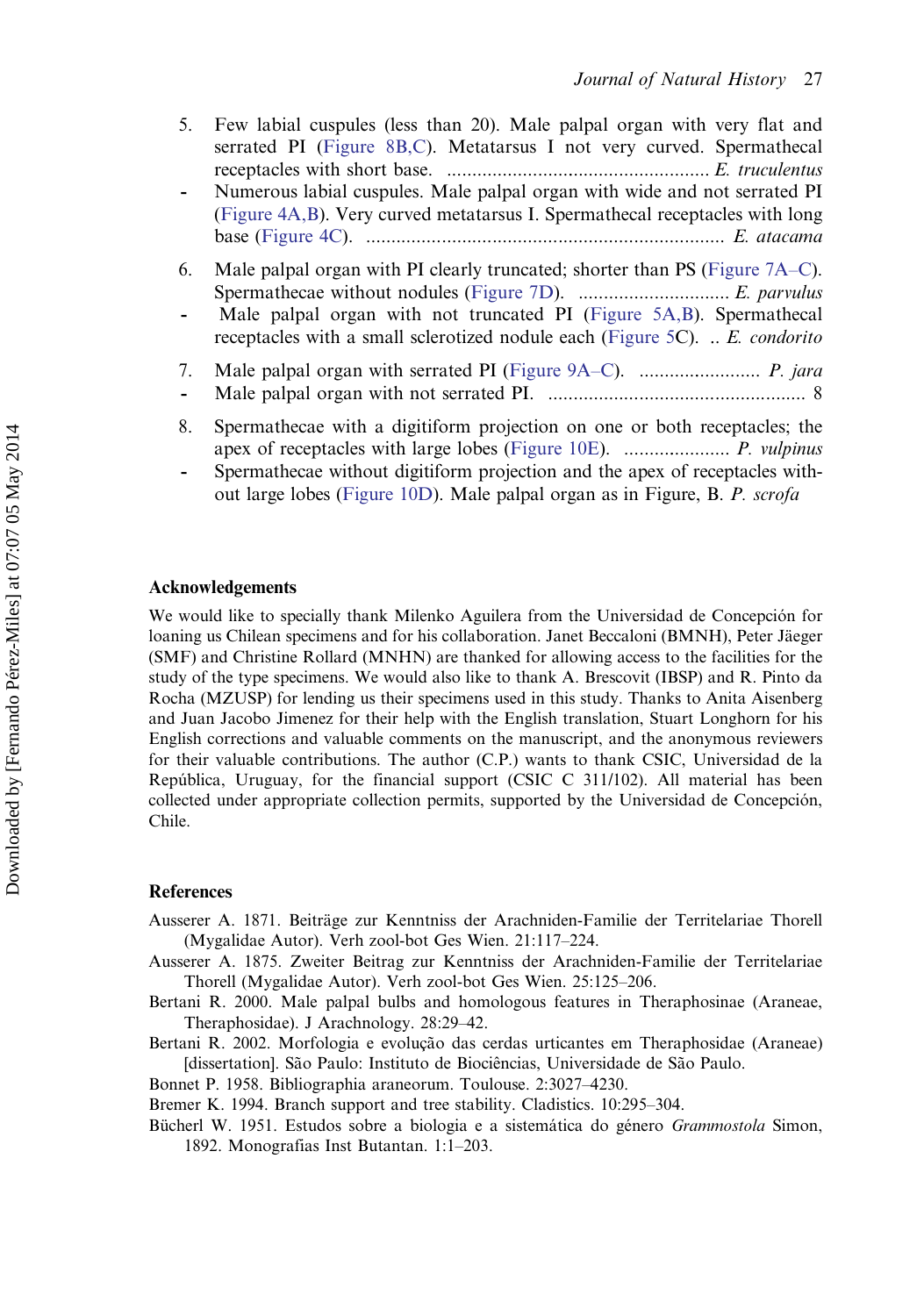- <span id="page-28-0"></span>5. Few labial cuspules (less than 20). Male palpal organ with very flat and serrated PI [\(Figure 8B,C\)](#page-13-0). Metatarsus I not very curved. Spermathecal receptacles with short base. .................................................... E. truculentus
- Numerous labial cuspules. Male palpal organ with wide and not serrated PI ([Figure 4A,B](#page-11-0)). Very curved metatarsus I. Spermathecal receptacles with long base [\(Figure 4C\)](#page-11-0). ....................................................................... E. atacama
- 6. Male palpal organ with PI clearly truncated; shorter than PS ([Figure 7A](#page-13-0)–C). Spermathecae without nodules [\(Figure 7D\)](#page-13-0). .............................. E. parvulus
- Male palpal organ with not truncated PI ([Figure 5A,B\)](#page-12-0). Spermathecal receptacles with a small sclerotized nodule each [\(Figure 5C](#page-12-0)). .. E. condorito
- 7. Male palpal organ with serrated PI ([Figure 9A](#page-21-0)–C). ........................ P. jara
- Male palpal organ with not serrated PI. ................................................... 8
- 8. Spermathecae with a digitiform projection on one or both receptacles; the apex of receptacles with large lobes [\(Figure 10E](#page-22-0)). ..................... P. vulpinus
- Spermathecae without digitiform projection and the apex of receptacles without large lobes ([Figure 10D](#page-22-0)). Male palpal organ as in Figure, B. P. scrofa

#### Acknowledgements

We would like to specially thank Milenko Aguilera from the Universidad de Concepción for loaning us Chilean specimens and for his collaboration. Janet Beccaloni (BMNH), Peter Jäeger (SMF) and Christine Rollard (MNHN) are thanked for allowing access to the facilities for the study of the type specimens. We would also like to thank A. Brescovit (IBSP) and R. Pinto da Rocha (MZUSP) for lending us their specimens used in this study. Thanks to Anita Aisenberg and Juan Jacobo Jimenez for their help with the English translation, Stuart Longhorn for his English corrections and valuable comments on the manuscript, and the anonymous reviewers for their valuable contributions. The author (C.P.) wants to thank CSIC, Universidad de la República, Uruguay, for the financial support (CSIC C 311/102). All material has been collected under appropriate collection permits, supported by the Universidad de Concepción, Chile.

## References

- Ausserer A. 1871. Beiträge zur Kenntniss der Arachniden-Familie der Territelariae Thorell (Mygalidae Autor). Verh zool-bot Ges Wien. 21:117–224.
- Ausserer A. 1875. Zweiter Beitrag zur Kenntniss der Arachniden-Familie der Territelariae Thorell (Mygalidae Autor). Verh zool-bot Ges Wien. 25:125–206.
- Bertani R. 2000. Male palpal bulbs and homologous features in Theraphosinae (Araneae, Theraphosidae). J Arachnology. 28:29–42.
- Bertani R. 2002. Morfologia e evolução das cerdas urticantes em Theraphosidae (Araneae) [dissertation]. São Paulo: Instituto de Biociências, Universidade de São Paulo.
- Bonnet P. 1958. Bibliographia araneorum. Toulouse. 2:3027–4230.
- Bremer K. 1994. Branch support and tree stability. Cladistics. 10:295–304.
- Bücherl W. 1951. Estudos sobre a biologia e a sistemática do género Grammostola Simon, 1892. Monografias Inst Butantan. 1:1–203.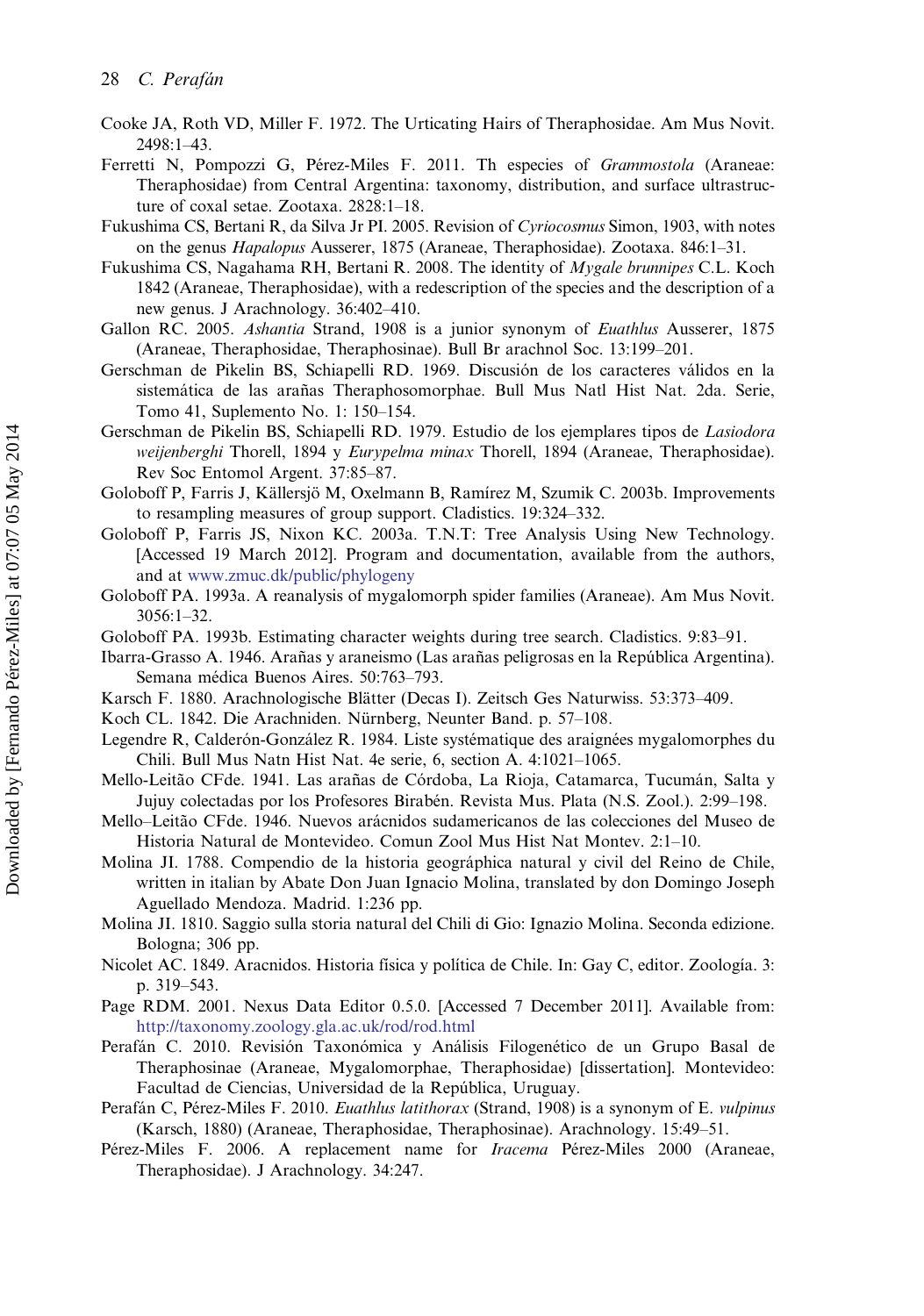- <span id="page-29-0"></span>Cooke JA, Roth VD, Miller F. 1972. The Urticating Hairs of Theraphosidae. Am Mus Novit. 2498:1–43.
- Ferretti N, Pompozzi G, Pérez-Miles F. 2011. Th especies of Grammostola (Araneae: Theraphosidae) from Central Argentina: taxonomy, distribution, and surface ultrastructure of coxal setae. Zootaxa. 2828:1–18.
- Fukushima CS, Bertani R, da Silva Jr PI. 2005. Revision of Cyriocosmus Simon, 1903, with notes on the genus Hapalopus Ausserer, 1875 (Araneae, Theraphosidae). Zootaxa. 846:1–31.
- Fukushima CS, Nagahama RH, Bertani R. 2008. The identity of Mygale brunnipes C.L. Koch 1842 (Araneae, Theraphosidae), with a redescription of the species and the description of a new genus. J Arachnology. 36:402–410.
- Gallon RC. 2005. Ashantia Strand, 1908 is a junior synonym of *Euathlus* Ausserer, 1875 (Araneae, Theraphosidae, Theraphosinae). Bull Br arachnol Soc. 13:199–201.
- Gerschman de Pikelin BS, Schiapelli RD. 1969. Discusión de los caracteres válidos en la sistemática de las arañas Theraphosomorphae. Bull Mus Natl Hist Nat. 2da. Serie, Tomo 41, Suplemento No. 1: 150–154.
- Gerschman de Pikelin BS, Schiapelli RD. 1979. Estudio de los ejemplares tipos de Lasiodora weijenberghi Thorell, 1894 y Eurypelma minax Thorell, 1894 (Araneae, Theraphosidae). Rev Soc Entomol Argent. 37:85–87.
- Goloboff P, Farris J, Källersjö M, Oxelmann B, Ramírez M, Szumik C. 2003b. Improvements to resampling measures of group support. Cladistics. 19:324–332.
- Goloboff P, Farris JS, Nixon KC. 2003a. T.N.T: Tree Analysis Using New Technology. [Accessed 19 March 2012]. Program and documentation, available from the authors, and at [www.zmuc.dk/public/phylogeny](http://www.zmuc.dk/public/phylogeny)
- Goloboff PA. 1993a. A reanalysis of mygalomorph spider families (Araneae). Am Mus Novit. 3056:1–32.
- Goloboff PA. 1993b. Estimating character weights during tree search. Cladistics. 9:83–91.
- Ibarra-Grasso A. 1946. Arañas y araneismo (Las arañas peligrosas en la República Argentina). Semana médica Buenos Aires. 50:763–793.
- Karsch F. 1880. Arachnologische Blätter (Decas I). Zeitsch Ges Naturwiss. 53:373–409.
- Koch CL. 1842. Die Arachniden. Nürnberg, Neunter Band. p. 57–108.
- Legendre R, Calderón-González R. 1984. Liste systématique des araignées mygalomorphes du Chili. Bull Mus Natn Hist Nat. 4e serie, 6, section A. 4:1021–1065.
- Mello-Leitão CFde. 1941. Las arañas de Córdoba, La Rioja, Catamarca, Tucumán, Salta y Jujuy colectadas por los Profesores Birabén. Revista Mus. Plata (N.S. Zool.). 2:99–198.
- Mello–Leitão CFde. 1946. Nuevos arácnidos sudamericanos de las colecciones del Museo de Historia Natural de Montevideo. Comun Zool Mus Hist Nat Montev. 2:1–10.
- Molina JI. 1788. Compendio de la historia geográphica natural y civil del Reino de Chile, written in italian by Abate Don Juan Ignacio Molina, translated by don Domingo Joseph Aguellado Mendoza. Madrid. 1:236 pp.
- Molina JI. 1810. Saggio sulla storia natural del Chili di Gio: Ignazio Molina. Seconda edizione. Bologna; 306 pp.
- Nicolet AC. 1849. Aracnidos. Historia física y política de Chile. In: Gay C, editor. Zoología. 3: p. 319–543.
- Page RDM. 2001. Nexus Data Editor 0.5.0. [Accessed 7 December 2011]. Available from: <http://taxonomy.zoology.gla.ac.uk/rod/rod.html>
- Perafán C. 2010. Revisión Taxonómica y Análisis Filogenético de un Grupo Basal de Theraphosinae (Araneae, Mygalomorphae, Theraphosidae) [dissertation]. Montevideo: Facultad de Ciencias, Universidad de la República, Uruguay.
- Perafán C, Pérez-Miles F. 2010. *Euathlus latithorax* (Strand, 1908) is a synonym of E. *vulpinus* (Karsch, 1880) (Araneae, Theraphosidae, Theraphosinae). Arachnology. 15:49–51.
- Pérez-Miles F. 2006. A replacement name for *Iracema* Pérez-Miles 2000 (Araneae, Theraphosidae). J Arachnology. 34:247.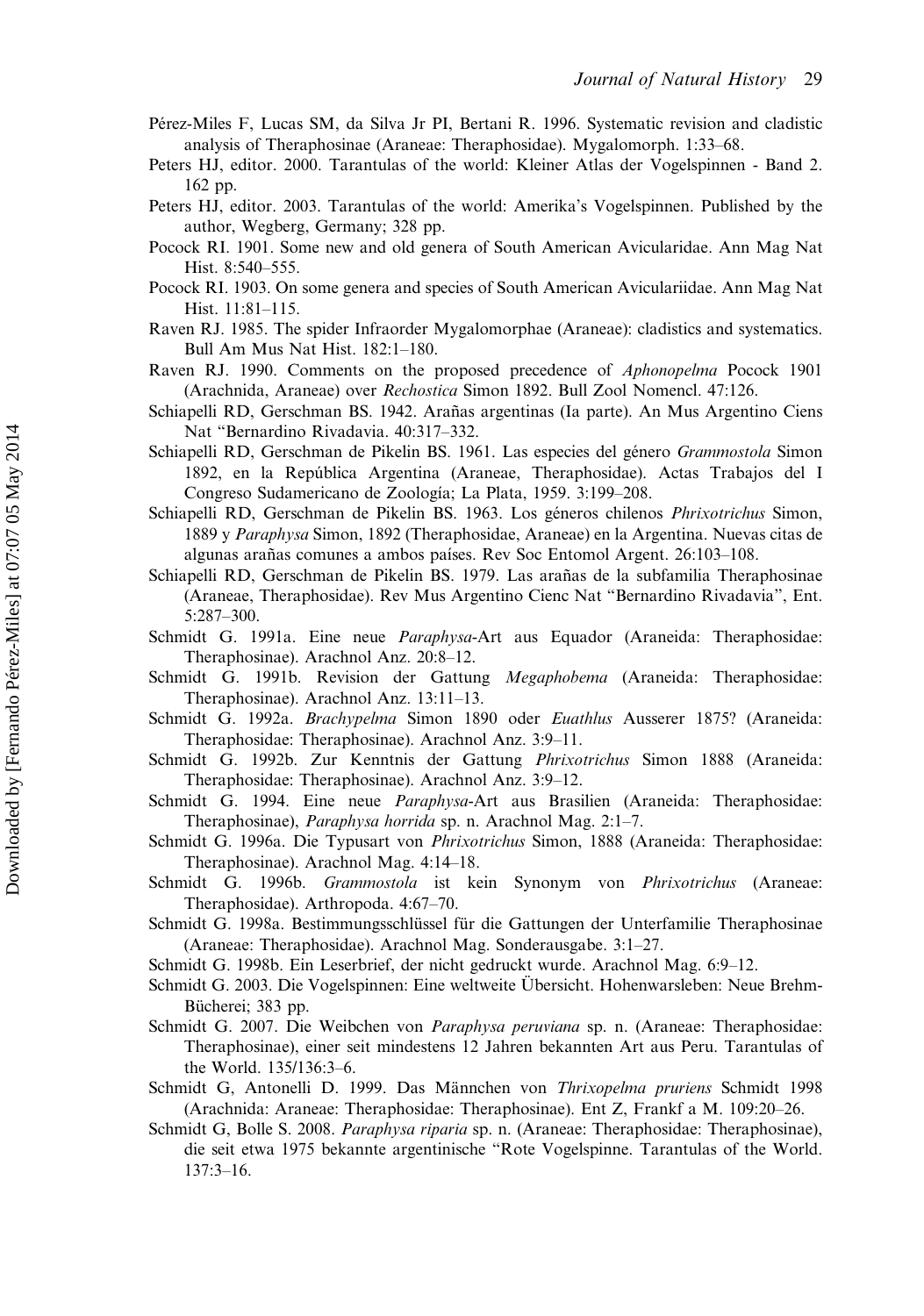- <span id="page-30-0"></span>Pérez-Miles F, Lucas SM, da Silva Jr PI, Bertani R. 1996. Systematic revision and cladistic analysis of Theraphosinae (Araneae: Theraphosidae). Mygalomorph. 1:33–68.
- Peters HJ, editor. 2000. Tarantulas of the world: Kleiner Atlas der Vogelspinnen Band 2. 162 pp.
- Peters HJ, editor. 2003. Tarantulas of the world: Amerika's Vogelspinnen. Published by the author, Wegberg, Germany; 328 pp.
- Pocock RI. 1901. Some new and old genera of South American Avicularidae. Ann Mag Nat Hist. 8:540–555.
- Pocock RI. 1903. On some genera and species of South American Aviculariidae. Ann Mag Nat Hist. 11:81–115.
- Raven RJ. 1985. The spider Infraorder Mygalomorphae (Araneae): cladistics and systematics. Bull Am Mus Nat Hist. 182:1–180.
- Raven RJ. 1990. Comments on the proposed precedence of Aphonopelma Pocock 1901 (Arachnida, Araneae) over Rechostica Simon 1892. Bull Zool Nomencl. 47:126.
- Schiapelli RD, Gerschman BS. 1942. Arañas argentinas (Ia parte). An Mus Argentino Ciens Nat "Bernardino Rivadavia. 40:317–332.
- Schiapelli RD, Gerschman de Pikelin BS. 1961. Las especies del género Grammostola Simon 1892, en la República Argentina (Araneae, Theraphosidae). Actas Trabajos del I Congreso Sudamericano de Zoología; La Plata, 1959. 3:199–208.
- Schiapelli RD, Gerschman de Pikelin BS. 1963. Los géneros chilenos Phrixotrichus Simon, 1889 y Paraphysa Simon, 1892 (Theraphosidae, Araneae) en la Argentina. Nuevas citas de algunas arañas comunes a ambos países. Rev Soc Entomol Argent. 26:103–108.
- Schiapelli RD, Gerschman de Pikelin BS. 1979. Las arañas de la subfamilia Theraphosinae (Araneae, Theraphosidae). Rev Mus Argentino Cienc Nat "Bernardino Rivadavia", Ent. 5:287–300.
- Schmidt G. 1991a. Eine neue Paraphysa-Art aus Equador (Araneida: Theraphosidae: Theraphosinae). Arachnol Anz. 20:8–12.
- Schmidt G. 1991b. Revision der Gattung Megaphobema (Araneida: Theraphosidae: Theraphosinae). Arachnol Anz. 13:11–13.
- Schmidt G. 1992a. Brachypelma Simon 1890 oder Euathlus Ausserer 1875? (Araneida: Theraphosidae: Theraphosinae). Arachnol Anz. 3:9–11.
- Schmidt G. 1992b. Zur Kenntnis der Gattung Phrixotrichus Simon 1888 (Araneida: Theraphosidae: Theraphosinae). Arachnol Anz. 3:9–12.
- Schmidt G. 1994. Eine neue Paraphysa-Art aus Brasilien (Araneida: Theraphosidae: Theraphosinae), Paraphysa horrida sp. n. Arachnol Mag. 2:1–7.
- Schmidt G. 1996a. Die Typusart von Phrixotrichus Simon, 1888 (Araneida: Theraphosidae: Theraphosinae). Arachnol Mag. 4:14–18.
- Schmidt G. 1996b. Grammostola ist kein Synonym von Phrixotrichus (Araneae: Theraphosidae). Arthropoda. 4:67–70.
- Schmidt G. 1998a. Bestimmungsschlüssel für die Gattungen der Unterfamilie Theraphosinae (Araneae: Theraphosidae). Arachnol Mag. Sonderausgabe. 3:1–27.
- Schmidt G. 1998b. Ein Leserbrief, der nicht gedruckt wurde. Arachnol Mag. 6:9–12.
- Schmidt G. 2003. Die Vogelspinnen: Eine weltweite Übersicht. Hohenwarsleben: Neue Brehm-Bücherei; 383 pp.
- Schmidt G. 2007. Die Weibchen von Paraphysa peruviana sp. n. (Araneae: Theraphosidae: Theraphosinae), einer seit mindestens 12 Jahren bekannten Art aus Peru. Tarantulas of the World. 135/136:3–6.
- Schmidt G, Antonelli D. 1999. Das Männchen von Thrixopelma pruriens Schmidt 1998 (Arachnida: Araneae: Theraphosidae: Theraphosinae). Ent Z, Frankf a M. 109:20–26.
- Schmidt G, Bolle S. 2008. Paraphysa riparia sp. n. (Araneae: Theraphosidae: Theraphosinae), die seit etwa 1975 bekannte argentinische "Rote Vogelspinne. Tarantulas of the World. 137:3–16.